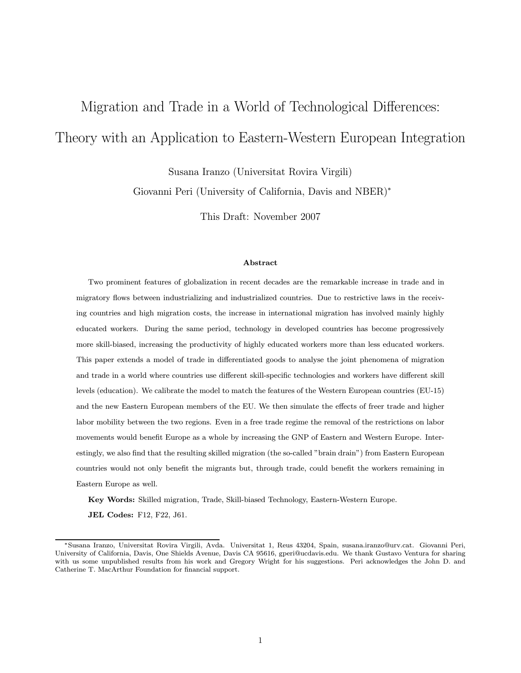# Migration and Trade in a World of Technological Differences: Theory with an Application to Eastern-Western European Integration

Susana Iranzo (Universitat Rovira Virgili)

Giovanni Peri (University of California, Davis and NBER)<sup>∗</sup>

This Draft: November 2007

#### Abstract

Two prominent features of globalization in recent decades are the remarkable increase in trade and in migratory flows between industrializing and industrialized countries. Due to restrictive laws in the receiving countries and high migration costs, the increase in international migration has involved mainly highly educated workers. During the same period, technology in developed countries has become progressively more skill-biased, increasing the productivity of highly educated workers more than less educated workers. This paper extends a model of trade in differentiated goods to analyse the joint phenomena of migration and trade in a world where countries use different skill-specific technologies and workers have different skill levels (education). We calibrate the model to match the features of the Western European countries (EU-15) and the new Eastern European members of the EU. We then simulate the effects of freer trade and higher labor mobility between the two regions. Even in a free trade regime the removal of the restrictions on labor movements would benefit Europe as a whole by increasing the GNP of Eastern and Western Europe. Interestingly, we also find that the resulting skilled migration (the so-called "brain drain") from Eastern European countries would not only benefit the migrants but, through trade, could benefit the workers remaining in Eastern Europe as well.

Key Words: Skilled migration, Trade, Skill-biased Technology, Eastern-Western Europe.

JEL Codes: F12, F22, J61.

<sup>∗</sup>Susana Iranzo, Universitat Rovira Virgili, Avda. Universitat 1, Reus 43204, Spain, susana.iranzo@urv.cat. Giovanni Peri, University of California, Davis, One Shields Avenue, Davis CA 95616, gperi@ucdavis.edu. We thank Gustavo Ventura for sharing with us some unpublished results from his work and Gregory Wright for his suggestions. Peri acknowledges the John D. and Catherine T. MacArthur Foundation for financial support.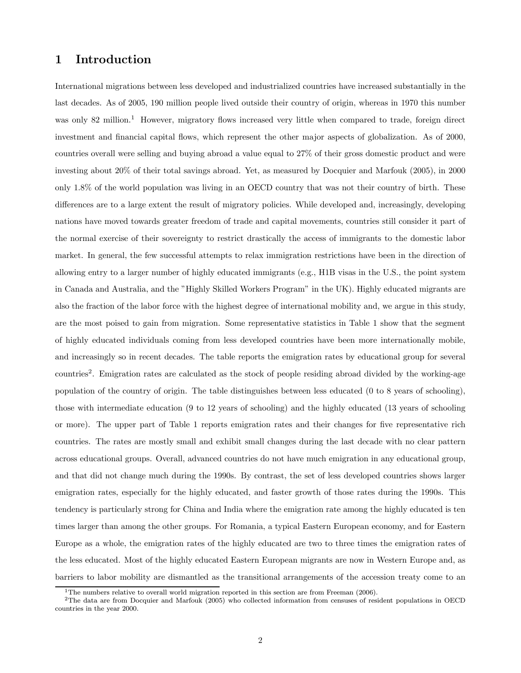# 1 Introduction

International migrations between less developed and industrialized countries have increased substantially in the last decades. As of 2005, 190 million people lived outside their country of origin, whereas in 1970 this number was only 82 million.<sup>1</sup> However, migratory flows increased very little when compared to trade, foreign direct investment and financial capital flows, which represent the other major aspects of globalization. As of 2000, countries overall were selling and buying abroad a value equal to 27% of their gross domestic product and were investing about 20% of their total savings abroad. Yet, as measured by Docquier and Marfouk (2005), in 2000 only 1.8% of the world population was living in an OECD country that was not their country of birth. These differences are to a large extent the result of migratory policies. While developed and, increasingly, developing nations have moved towards greater freedom of trade and capital movements, countries still consider it part of the normal exercise of their sovereignty to restrict drastically the access of immigrants to the domestic labor market. In general, the few successful attempts to relax immigration restrictions have been in the direction of allowing entry to a larger number of highly educated immigrants (e.g., H1B visas in the U.S., the point system in Canada and Australia, and the "Highly Skilled Workers Program" in the UK). Highly educated migrants are also the fraction of the labor force with the highest degree of international mobility and, we argue in this study, are the most poised to gain from migration. Some representative statistics in Table 1 show that the segment of highly educated individuals coming from less developed countries have been more internationally mobile, and increasingly so in recent decades. The table reports the emigration rates by educational group for several countries2. Emigration rates are calculated as the stock of people residing abroad divided by the working-age population of the country of origin. The table distinguishes between less educated (0 to 8 years of schooling), those with intermediate education (9 to 12 years of schooling) and the highly educated (13 years of schooling or more). The upper part of Table 1 reports emigration rates and their changes for five representative rich countries. The rates are mostly small and exhibit small changes during the last decade with no clear pattern across educational groups. Overall, advanced countries do not have much emigration in any educational group, and that did not change much during the 1990s. By contrast, the set of less developed countries shows larger emigration rates, especially for the highly educated, and faster growth of those rates during the 1990s. This tendency is particularly strong for China and India where the emigration rate among the highly educated is ten times larger than among the other groups. For Romania, a typical Eastern European economy, and for Eastern Europe as a whole, the emigration rates of the highly educated are two to three times the emigration rates of the less educated. Most of the highly educated Eastern European migrants are now in Western Europe and, as barriers to labor mobility are dismantled as the transitional arrangements of the accession treaty come to an

<sup>&</sup>lt;sup>1</sup>The numbers relative to overall world migration reported in this section are from Freeman (2006).

<sup>2</sup>The data are from Docquier and Marfouk (2005) who collected information from censuses of resident populations in OECD countries in the year 2000.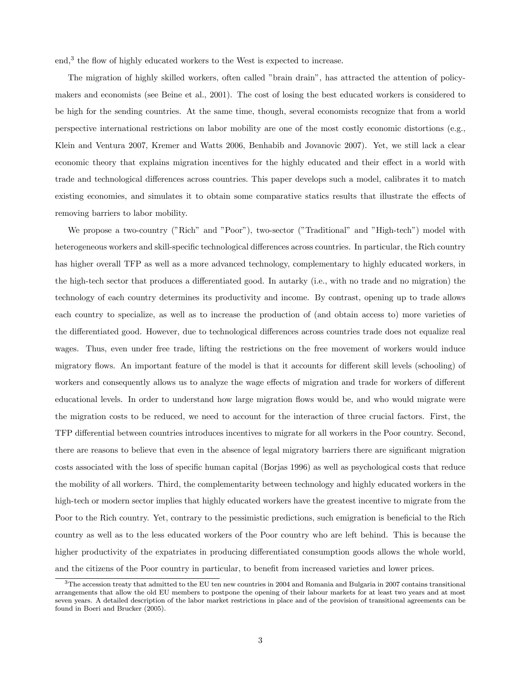end,<sup>3</sup> the flow of highly educated workers to the West is expected to increase.

The migration of highly skilled workers, often called "brain drain", has attracted the attention of policymakers and economists (see Beine et al., 2001). The cost of losing the best educated workers is considered to be high for the sending countries. At the same time, though, several economists recognize that from a world perspective international restrictions on labor mobility are one of the most costly economic distortions (e.g., Klein and Ventura 2007, Kremer and Watts 2006, Benhabib and Jovanovic 2007). Yet, we still lack a clear economic theory that explains migration incentives for the highly educated and their effect in a world with trade and technological differences across countries. This paper develops such a model, calibrates it to match existing economies, and simulates it to obtain some comparative statics results that illustrate the effects of removing barriers to labor mobility.

We propose a two-country ("Rich" and "Poor"), two-sector ("Traditional" and "High-tech") model with heterogeneous workers and skill-specific technological differences across countries. In particular, the Rich country has higher overall TFP as well as a more advanced technology, complementary to highly educated workers, in the high-tech sector that produces a differentiated good. In autarky (i.e., with no trade and no migration) the technology of each country determines its productivity and income. By contrast, opening up to trade allows each country to specialize, as well as to increase the production of (and obtain access to) more varieties of the differentiated good. However, due to technological differences across countries trade does not equalize real wages. Thus, even under free trade, lifting the restrictions on the free movement of workers would induce migratory flows. An important feature of the model is that it accounts for different skill levels (schooling) of workers and consequently allows us to analyze the wage effects of migration and trade for workers of different educational levels. In order to understand how large migration flows would be, and who would migrate were the migration costs to be reduced, we need to account for the interaction of three crucial factors. First, the TFP differential between countries introduces incentives to migrate for all workers in the Poor country. Second, there are reasons to believe that even in the absence of legal migratory barriers there are significant migration costs associated with the loss of specific human capital (Borjas 1996) as well as psychological costs that reduce the mobility of all workers. Third, the complementarity between technology and highly educated workers in the high-tech or modern sector implies that highly educated workers have the greatest incentive to migrate from the Poor to the Rich country. Yet, contrary to the pessimistic predictions, such emigration is beneficial to the Rich country as well as to the less educated workers of the Poor country who are left behind. This is because the higher productivity of the expatriates in producing differentiated consumption goods allows the whole world, and the citizens of the Poor country in particular, to benefit from increased varieties and lower prices.

<sup>3</sup>The accession treaty that admitted to the EU ten new countries in 2004 and Romania and Bulgaria in 2007 contains transitional arrangements that allow the old EU members to postpone the opening of their labour markets for at least two years and at most seven years. A detailed description of the labor market restrictions in place and of the provision of transitional agreements can be found in Boeri and Brucker (2005).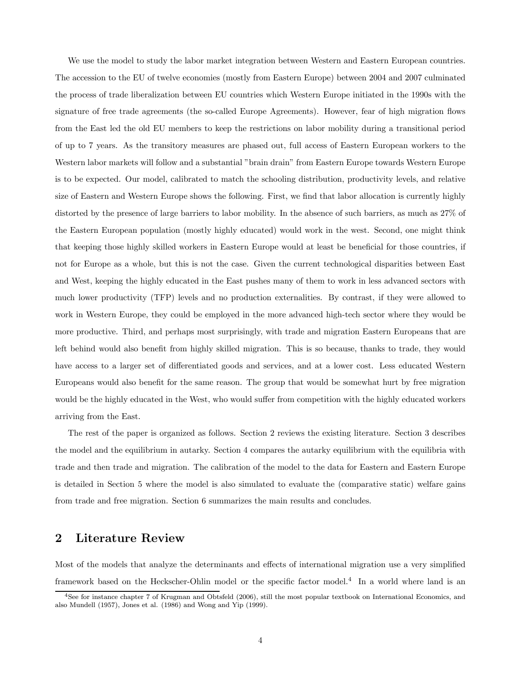We use the model to study the labor market integration between Western and Eastern European countries. The accession to the EU of twelve economies (mostly from Eastern Europe) between 2004 and 2007 culminated the process of trade liberalization between EU countries which Western Europe initiated in the 1990s with the signature of free trade agreements (the so-called Europe Agreements). However, fear of high migration flows from the East led the old EU members to keep the restrictions on labor mobility during a transitional period of up to 7 years. As the transitory measures are phased out, full access of Eastern European workers to the Western labor markets will follow and a substantial "brain drain" from Eastern Europe towards Western Europe is to be expected. Our model, calibrated to match the schooling distribution, productivity levels, and relative size of Eastern and Western Europe shows the following. First, we find that labor allocation is currently highly distorted by the presence of large barriers to labor mobility. In the absence of such barriers, as much as 27% of the Eastern European population (mostly highly educated) would work in the west. Second, one might think that keeping those highly skilled workers in Eastern Europe would at least be beneficial for those countries, if not for Europe as a whole, but this is not the case. Given the current technological disparities between East and West, keeping the highly educated in the East pushes many of them to work in less advanced sectors with much lower productivity (TFP) levels and no production externalities. By contrast, if they were allowed to work in Western Europe, they could be employed in the more advanced high-tech sector where they would be more productive. Third, and perhaps most surprisingly, with trade and migration Eastern Europeans that are left behind would also benefit from highly skilled migration. This is so because, thanks to trade, they would have access to a larger set of differentiated goods and services, and at a lower cost. Less educated Western Europeans would also benefit for the same reason. The group that would be somewhat hurt by free migration would be the highly educated in the West, who would suffer from competition with the highly educated workers arriving from the East.

The rest of the paper is organized as follows. Section 2 reviews the existing literature. Section 3 describes the model and the equilibrium in autarky. Section 4 compares the autarky equilibrium with the equilibria with trade and then trade and migration. The calibration of the model to the data for Eastern and Eastern Europe is detailed in Section 5 where the model is also simulated to evaluate the (comparative static) welfare gains from trade and free migration. Section 6 summarizes the main results and concludes.

# 2 Literature Review

Most of the models that analyze the determinants and effects of international migration use a very simplified framework based on the Heckscher-Ohlin model or the specific factor model.<sup>4</sup> In a world where land is an

<sup>4</sup>See for instance chapter 7 of Krugman and Obtsfeld (2006), still the most popular textbook on International Economics, and also Mundell (1957), Jones et al. (1986) and Wong and Yip (1999).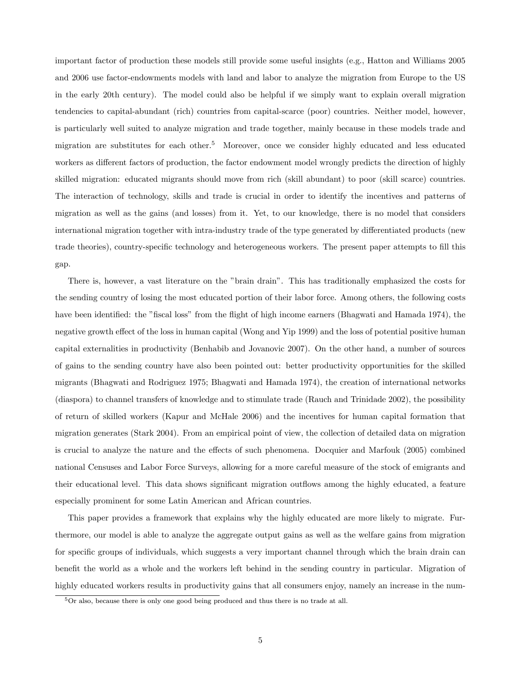important factor of production these models still provide some useful insights (e.g., Hatton and Williams 2005 and 2006 use factor-endowments models with land and labor to analyze the migration from Europe to the US in the early 20th century). The model could also be helpful if we simply want to explain overall migration tendencies to capital-abundant (rich) countries from capital-scarce (poor) countries. Neither model, however, is particularly well suited to analyze migration and trade together, mainly because in these models trade and migration are substitutes for each other.<sup>5</sup> Moreover, once we consider highly educated and less educated workers as different factors of production, the factor endowment model wrongly predicts the direction of highly skilled migration: educated migrants should move from rich (skill abundant) to poor (skill scarce) countries. The interaction of technology, skills and trade is crucial in order to identify the incentives and patterns of migration as well as the gains (and losses) from it. Yet, to our knowledge, there is no model that considers international migration together with intra-industry trade of the type generated by differentiated products (new trade theories), country-specific technology and heterogeneous workers. The present paper attempts to fill this gap.

There is, however, a vast literature on the "brain drain". This has traditionally emphasized the costs for the sending country of losing the most educated portion of their labor force. Among others, the following costs have been identified: the "fiscal loss" from the flight of high income earners (Bhagwati and Hamada 1974), the negative growth effect of the loss in human capital (Wong and Yip 1999) and the loss of potential positive human capital externalities in productivity (Benhabib and Jovanovic 2007). On the other hand, a number of sources of gains to the sending country have also been pointed out: better productivity opportunities for the skilled migrants (Bhagwati and Rodriguez 1975; Bhagwati and Hamada 1974), the creation of international networks (diaspora) to channel transfers of knowledge and to stimulate trade (Rauch and Trinidade 2002), the possibility of return of skilled workers (Kapur and McHale 2006) and the incentives for human capital formation that migration generates (Stark 2004). From an empirical point of view, the collection of detailed data on migration is crucial to analyze the nature and the effects of such phenomena. Docquier and Marfouk (2005) combined national Censuses and Labor Force Surveys, allowing for a more careful measure of the stock of emigrants and their educational level. This data shows significant migration outflows among the highly educated, a feature especially prominent for some Latin American and African countries.

This paper provides a framework that explains why the highly educated are more likely to migrate. Furthermore, our model is able to analyze the aggregate output gains as well as the welfare gains from migration for specific groups of individuals, which suggests a very important channel through which the brain drain can benefit the world as a whole and the workers left behind in the sending country in particular. Migration of highly educated workers results in productivity gains that all consumers enjoy, namely an increase in the num-

 $5$ Or also, because there is only one good being produced and thus there is no trade at all.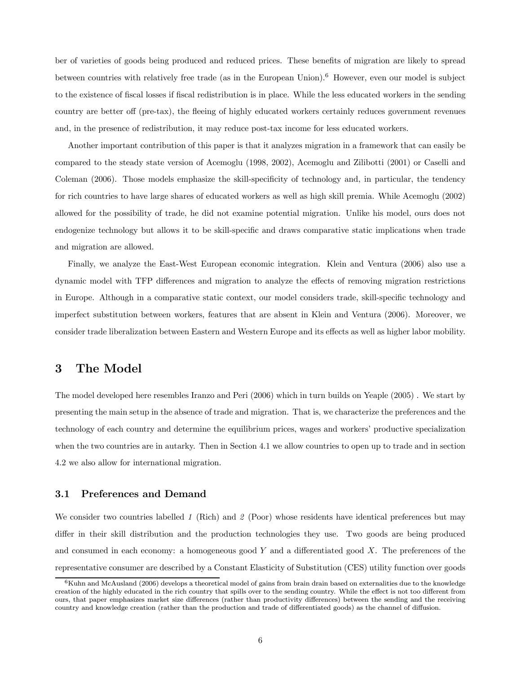ber of varieties of goods being produced and reduced prices. These benefits of migration are likely to spread between countries with relatively free trade (as in the European Union).<sup>6</sup> However, even our model is subject to the existence of fiscal losses if fiscal redistribution is in place. While the less educated workers in the sending country are better off (pre-tax), the fleeing of highly educated workers certainly reduces government revenues and, in the presence of redistribution, it may reduce post-tax income for less educated workers.

Another important contribution of this paper is that it analyzes migration in a framework that can easily be compared to the steady state version of Acemoglu (1998, 2002), Acemoglu and Zilibotti (2001) or Caselli and Coleman (2006). Those models emphasize the skill-specificity of technology and, in particular, the tendency for rich countries to have large shares of educated workers as well as high skill premia. While Acemoglu (2002) allowed for the possibility of trade, he did not examine potential migration. Unlike his model, ours does not endogenize technology but allows it to be skill-specific and draws comparative static implications when trade and migration are allowed.

Finally, we analyze the East-West European economic integration. Klein and Ventura (2006) also use a dynamic model with TFP differences and migration to analyze the effects of removing migration restrictions in Europe. Although in a comparative static context, our model considers trade, skill-specific technology and imperfect substitution between workers, features that are absent in Klein and Ventura (2006). Moreover, we consider trade liberalization between Eastern and Western Europe and its effects as well as higher labor mobility.

### 3 The Model

The model developed here resembles Iranzo and Peri (2006) which in turn builds on Yeaple (2005) . We start by presenting the main setup in the absence of trade and migration. That is, we characterize the preferences and the technology of each country and determine the equilibrium prices, wages and workers' productive specialization when the two countries are in autarky. Then in Section 4.1 we allow countries to open up to trade and in section 4.2 we also allow for international migration.

#### 3.1 Preferences and Demand

We consider two countries labelled 1 (Rich) and 2 (Poor) whose residents have identical preferences but may differ in their skill distribution and the production technologies they use. Two goods are being produced and consumed in each economy: a homogeneous good Y and a differentiated good X. The preferences of the representative consumer are described by a Constant Elasticity of Substitution (CES) utility function over goods

 $6$ Kuhn and McAusland (2006) develops a theoretical model of gains from brain drain based on externalities due to the knowledge creation of the highly educated in the rich country that spills over to the sending country. While the effect is not too different from ours, that paper emphasizes market size differences (rather than productivity differences) between the sending and the receiving country and knowledge creation (rather than the production and trade of differentiated goods) as the channel of diffusion.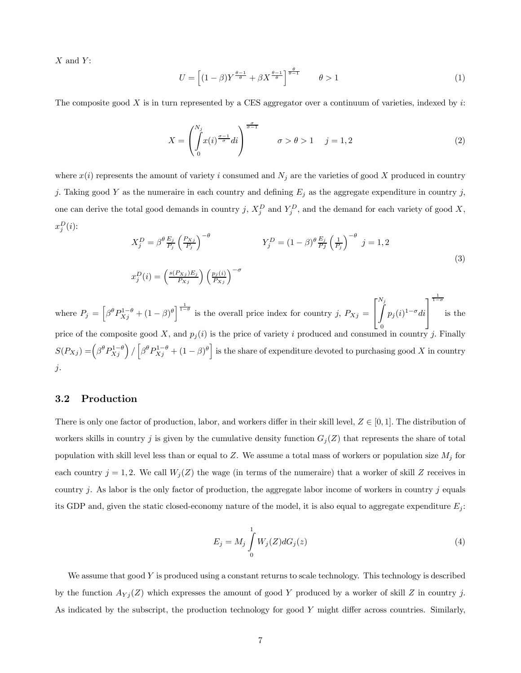$X$  and  $Y$ :

$$
U = \left[ (1 - \beta) Y^{\frac{\theta - 1}{\theta}} + \beta X^{\frac{\theta - 1}{\theta}} \right]^{\frac{\theta}{\theta - 1}} \qquad \theta > 1 \tag{1}
$$

The composite good  $X$  is in turn represented by a CES aggregator over a continuum of varieties, indexed by  $i$ :

$$
X = \left(\int_{0}^{N_j} x(i)^{\frac{\sigma-1}{\sigma}} di\right)^{\frac{\sigma}{\sigma-1}} \qquad \sigma > \theta > 1 \quad j = 1, 2 \tag{2}
$$

where  $x(i)$  represents the amount of variety i consumed and  $N_j$  are the varieties of good X produced in country j. Taking good Y as the numeraire in each country and defining  $E_j$  as the aggregate expenditure in country j, one can derive the total good demands in country j,  $X_j^D$  and  $Y_j^D$ , and the demand for each variety of good X,  $x_j^D(i)$ :

$$
X_j^D = \beta^{\theta} \frac{E_j}{P_j} \left(\frac{P_{Xj}}{P_j}\right)^{-\theta} \qquad Y_j^D = (1 - \beta)^{\theta} \frac{E_j}{P_j} \left(\frac{1}{P_j}\right)^{-\theta} \ j = 1, 2
$$
  
\n
$$
x_j^D(i) = \left(\frac{s(P_{Xj})E_j}{P_{Xj}}\right) \left(\frac{p_j(i)}{P_{Xj}}\right)^{-\sigma} \qquad (3)
$$

where  $P_j = \left[\beta^{\theta} P_{Xj}^{1-\theta} + (1-\beta)^{\theta}\right]^{\frac{1}{1-\theta}}$  is the overall price index for country j,  $P_{Xj} =$  $\sqrt{ }$  $\mathbf{I}$  $\frac{N_j}{\int}$ price of the composite good X, and  $p_j(i)$  is the price of variety i produced and consumed in country j. Finally  $p_j(i)^{1-\sigma}$ di ⎤  $\mathbf{I}$  $\frac{1}{1-\sigma}$ is the  $S(P_{Xj}) = \left(\beta^{\theta}P_{Xj}^{1-\theta}\right)/\left[\beta^{\theta}P_{Xj}^{1-\theta} + (1-\beta)^{\theta}\right]$  is the share of expenditure devoted to purchasing good X in country j.

#### 3.2 Production

There is only one factor of production, labor, and workers differ in their skill level,  $Z \in [0,1]$ . The distribution of workers skills in country j is given by the cumulative density function  $G_j(Z)$  that represents the share of total population with skill level less than or equal to Z. We assume a total mass of workers or population size  $M_j$  for each country  $j = 1, 2$ . We call  $W_j(Z)$  the wage (in terms of the numeraire) that a worker of skill Z receives in country  $j$ . As labor is the only factor of production, the aggregate labor income of workers in country  $j$  equals its GDP and, given the static closed-economy nature of the model, it is also equal to aggregate expenditure  $E_i$ :

$$
E_j = M_j \int_0^1 W_j(Z)dG_j(z)
$$
\n(4)

We assume that good Y is produced using a constant returns to scale technology. This technology is described by the function  $A_{Y_j}(Z)$  which expresses the amount of good Y produced by a worker of skill Z in country j. As indicated by the subscript, the production technology for good Y might differ across countries. Similarly,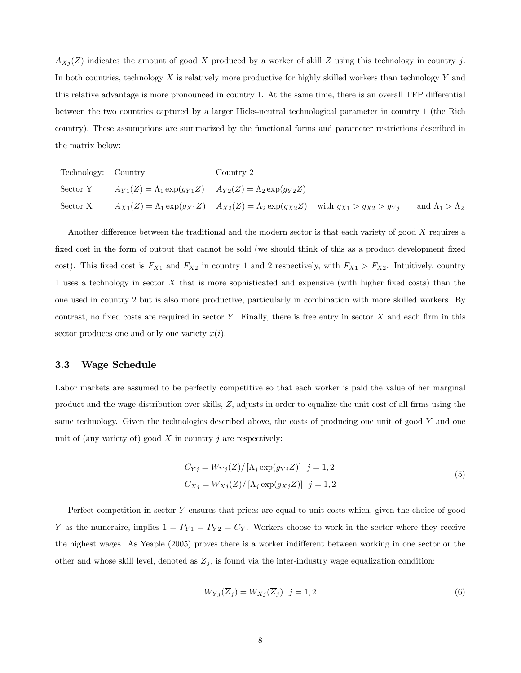$A_{Xj}(Z)$  indicates the amount of good X produced by a worker of skill Z using this technology in country j. In both countries, technology X is relatively more productive for highly skilled workers than technology Y and this relative advantage is more pronounced in country 1. At the same time, there is an overall TFP differential between the two countries captured by a larger Hicks-neutral technological parameter in country 1 (the Rich country). These assumptions are summarized by the functional forms and parameter restrictions described in the matrix below:

| Technology: Country 1 |                                                                             | Country 2                                                                                                   |                             |
|-----------------------|-----------------------------------------------------------------------------|-------------------------------------------------------------------------------------------------------------|-----------------------------|
| Sector Y              | $A_{Y1}(Z) = \Lambda_1 \exp(g_{Y1}Z)$ $A_{Y2}(Z) = \Lambda_2 \exp(g_{Y2}Z)$ |                                                                                                             |                             |
| Sector X              |                                                                             | $A_{X1}(Z) = \Lambda_1 \exp(g_{X1}Z)$ $A_{X2}(Z) = \Lambda_2 \exp(g_{X2}Z)$ with $g_{X1} > g_{X2} > g_{Yj}$ | and $\Lambda_1 > \Lambda_2$ |

Another difference between the traditional and the modern sector is that each variety of good X requires a fixed cost in the form of output that cannot be sold (we should think of this as a product development fixed cost). This fixed cost is  $F_{X1}$  and  $F_{X2}$  in country 1 and 2 respectively, with  $F_{X1} > F_{X2}$ . Intuitively, country 1 uses a technology in sector X that is more sophisticated and expensive (with higher fixed costs) than the one used in country 2 but is also more productive, particularly in combination with more skilled workers. By contrast, no fixed costs are required in sector Y. Finally, there is free entry in sector  $X$  and each firm in this sector produces one and only one variety  $x(i)$ .

### 3.3 Wage Schedule

Labor markets are assumed to be perfectly competitive so that each worker is paid the value of her marginal product and the wage distribution over skills, Z, adjusts in order to equalize the unit cost of all firms using the same technology. Given the technologies described above, the costs of producing one unit of good Y and one unit of (any variety of) good  $X$  in country  $j$  are respectively:

$$
C_{Yj} = W_{Yj}(Z) / [\Lambda_j \exp(g_{Yj}Z)] \quad j = 1, 2
$$
  
\n
$$
C_{Xj} = W_{Xj}(Z) / [\Lambda_j \exp(g_{Xj}Z)] \quad j = 1, 2
$$
\n(5)

Perfect competition in sector Y ensures that prices are equal to unit costs which, given the choice of good Y as the numeraire, implies  $1 = P_{Y1} = P_{Y2} = C_Y$ . Workers choose to work in the sector where they receive the highest wages. As Yeaple (2005) proves there is a worker indifferent between working in one sector or the other and whose skill level, denoted as  $\overline{Z}_j$ , is found via the inter-industry wage equalization condition:

$$
W_{Yj}(\overline{Z}_j) = W_{Xj}(\overline{Z}_j) \quad j = 1, 2
$$
\n<sup>(6)</sup>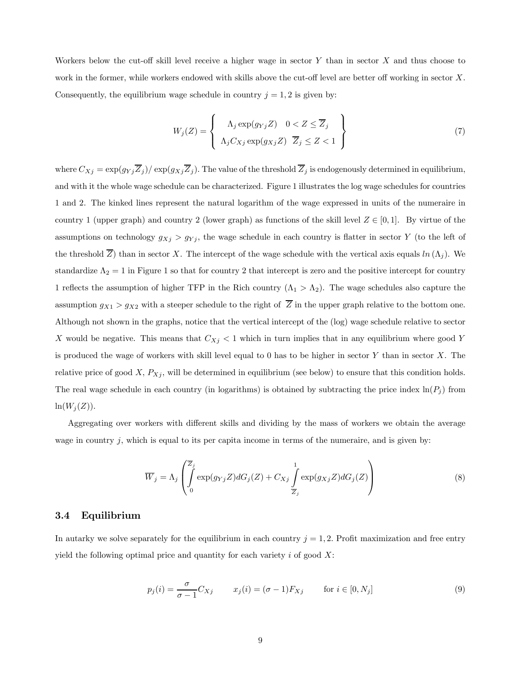Workers below the cut-off skill level receive a higher wage in sector  $Y$  than in sector  $X$  and thus choose to work in the former, while workers endowed with skills above the cut-off level are better off working in sector X. Consequently, the equilibrium wage schedule in country  $j = 1, 2$  is given by:

$$
W_j(Z) = \left\{ \begin{array}{c} \Lambda_j \exp(g_{Yj} Z) & 0 < Z \leq \overline{Z}_j \\ \Lambda_j C_{Xj} \exp(g_{Xj} Z) & \overline{Z}_j \leq Z < 1 \end{array} \right\} \tag{7}
$$

where  $C_{Xj} = \exp(g_{Yj} \overline{Z}_j)/\exp(g_{Xj} \overline{Z}_j)$ . The value of the threshold  $\overline{Z}_j$  is endogenously determined in equilibrium, and with it the whole wage schedule can be characterized. Figure 1 illustrates the log wage schedules for countries 1 and 2. The kinked lines represent the natural logarithm of the wage expressed in units of the numeraire in country 1 (upper graph) and country 2 (lower graph) as functions of the skill level  $Z \in [0,1]$ . By virtue of the assumptions on technology  $g_{Xj} > g_{Yj}$ , the wage schedule in each country is flatter in sector Y (to the left of the threshold  $\overline{Z}$ ) than in sector X. The intercept of the wage schedule with the vertical axis equals  $ln (\Lambda_i)$ . We standardize  $\Lambda_2 = 1$  in Figure 1 so that for country 2 that intercept is zero and the positive intercept for country 1 reflects the assumption of higher TFP in the Rich country  $(\Lambda_1 > \Lambda_2)$ . The wage schedules also capture the assumption  $g_{X1} > g_{X2}$  with a steeper schedule to the right of  $\overline{Z}$  in the upper graph relative to the bottom one. Although not shown in the graphs, notice that the vertical intercept of the (log) wage schedule relative to sector X would be negative. This means that  $C_{Xj} < 1$  which in turn implies that in any equilibrium where good Y is produced the wage of workers with skill level equal to 0 has to be higher in sector  $Y$  than in sector  $X$ . The relative price of good  $X$ ,  $P_{Xj}$ , will be determined in equilibrium (see below) to ensure that this condition holds. The real wage schedule in each country (in logarithms) is obtained by subtracting the price index  $\ln(P_i)$  from  $ln(W_i(Z)).$ 

Aggregating over workers with different skills and dividing by the mass of workers we obtain the average wage in country  $j$ , which is equal to its per capita income in terms of the numeraire, and is given by:

$$
\overline{W}_j = \Lambda_j \left( \int_0^{\overline{Z}_j} \exp(g_{Yj} Z) dG_j(Z) + C_{Xj} \int_{\overline{Z}_j}^1 \exp(g_{Xj} Z) dG_j(Z) \right)
$$
(8)

#### 3.4 Equilibrium

In autarky we solve separately for the equilibrium in each country  $j = 1, 2$ . Profit maximization and free entry yield the following optimal price and quantity for each variety  $i$  of good  $X$ :

$$
p_j(i) = \frac{\sigma}{\sigma - 1} C_{Xj} \qquad x_j(i) = (\sigma - 1) F_{Xj} \qquad \text{for } i \in [0, N_j]
$$
 (9)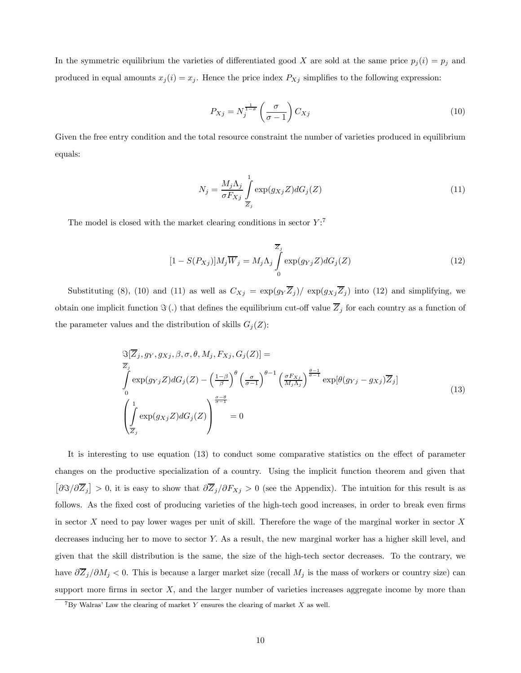In the symmetric equilibrium the varieties of differentiated good X are sold at the same price  $p_j(i) = p_j$  and produced in equal amounts  $x_j(i) = x_j$ . Hence the price index  $P_{Xj}$  simplifies to the following expression:

$$
P_{Xj} = N_j^{\frac{1}{1-\sigma}} \left(\frac{\sigma}{\sigma - 1}\right) C_{Xj} \tag{10}
$$

Given the free entry condition and the total resource constraint the number of varieties produced in equilibrium equals:

$$
N_j = \frac{M_j \Lambda_j}{\sigma F_{Xj}} \int_{\overline{Z}_j} \exp(g_{Xj} Z) dG_j(Z)
$$
\n(11)

The model is closed with the market clearing conditions in sector  $Y$ :<sup>7</sup>

$$
[1 - S(P_{Xj})]M_j \overline{W}_j = M_j \Lambda_j \int_0^{\overline{Z}_j} \exp(g_{Yj} Z) dG_j(Z)
$$
(12)

Substituting (8), (10) and (11) as well as  $C_{Xj} = \exp(g_Y \overline{Z}_j)/\exp(g_{Xj} \overline{Z}_j)$  into (12) and simplifying, we obtain one implicit function  $\Im(.)$  that defines the equilibrium cut-off value  $\overline{Z}_j$  for each country as a function of the parameter values and the distribution of skills  $G_i(Z)$ :

$$
\mathfrak{S}[\overline{Z}_{j}, g_{Y}, g_{Xj}, \beta, \sigma, \theta, M_{j}, F_{Xj}, G_{j}(Z)] =
$$
\n
$$
\int_{0}^{\overline{Z}_{j}} \exp(g_{Yj}Z) dG_{j}(Z) - \left(\frac{1-\beta}{\beta}\right)^{\theta} \left(\frac{\sigma}{\sigma-1}\right)^{\theta-1} \left(\frac{\sigma F_{Xj}}{M_{j}\Lambda_{j}}\right)^{\frac{\theta-1}{\sigma-1}} \exp[\theta(g_{Yj} - g_{Xj})\overline{Z}_{j}]
$$
\n
$$
\left(\int_{\overline{Z}_{j}}^{1} \exp(g_{Xj}Z) dG_{j}(Z)\right)^{\frac{\sigma-\theta}{\sigma-1}} = 0
$$
\n(13)

It is interesting to use equation (13) to conduct some comparative statistics on the effect of parameter changes on the productive specialization of a country. Using the implicit function theorem and given that  $\left[\frac{\partial \Im}{\partial \overline{Z}_j}\right] > 0$ , it is easy to show that  $\frac{\partial \overline{Z}_j}{\partial F_{Xj}} > 0$  (see the Appendix). The intuition for this result is as follows. As the fixed cost of producing varieties of the high-tech good increases, in order to break even firms in sector X need to pay lower wages per unit of skill. Therefore the wage of the marginal worker in sector  $X$ decreases inducing her to move to sector Y. As a result, the new marginal worker has a higher skill level, and given that the skill distribution is the same, the size of the high-tech sector decreases. To the contrary, we have  $\partial \overline{Z}_j/\partial M_j < 0$ . This is because a larger market size (recall  $M_j$  is the mass of workers or country size) can support more firms in sector  $X$ , and the larger number of varieties increases aggregate income by more than

 $7By$  Walras' Law the clearing of market Y ensures the clearing of market X as well.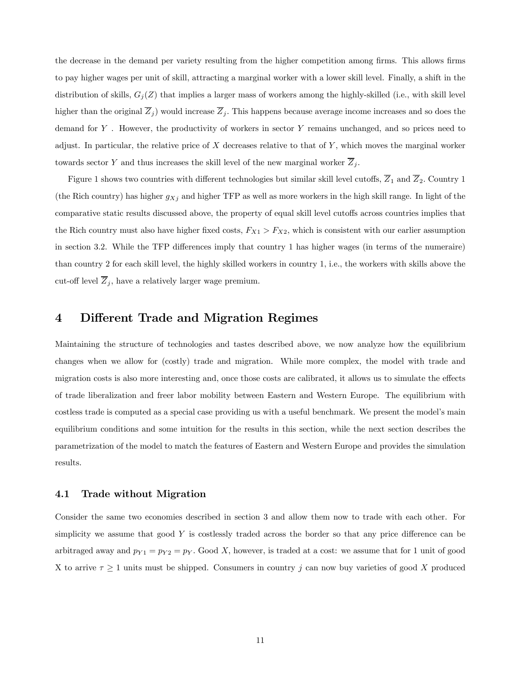the decrease in the demand per variety resulting from the higher competition among firms. This allows firms to pay higher wages per unit of skill, attracting a marginal worker with a lower skill level. Finally, a shift in the distribution of skills,  $G_i(Z)$  that implies a larger mass of workers among the highly-skilled (i.e., with skill level higher than the original  $\overline{Z}_j$  would increase  $\overline{Z}_j$ . This happens because average income increases and so does the demand for  $Y$ . However, the productivity of workers in sector  $Y$  remains unchanged, and so prices need to adjust. In particular, the relative price of X decreases relative to that of  $Y$ , which moves the marginal worker towards sector Y and thus increases the skill level of the new marginal worker  $\overline{Z}_j$ .

Figure 1 shows two countries with different technologies but similar skill level cutoffs,  $\overline{Z}_1$  and  $\overline{Z}_2$ . Country 1 (the Rich country) has higher  $g_{Xj}$  and higher TFP as well as more workers in the high skill range. In light of the comparative static results discussed above, the property of equal skill level cutoffs across countries implies that the Rich country must also have higher fixed costs,  $F_{X1} > F_{X2}$ , which is consistent with our earlier assumption in section 3.2. While the TFP differences imply that country 1 has higher wages (in terms of the numeraire) than country 2 for each skill level, the highly skilled workers in country 1, i.e., the workers with skills above the cut-off level  $\overline{Z}_j$ , have a relatively larger wage premium.

# 4 Different Trade and Migration Regimes

Maintaining the structure of technologies and tastes described above, we now analyze how the equilibrium changes when we allow for (costly) trade and migration. While more complex, the model with trade and migration costs is also more interesting and, once those costs are calibrated, it allows us to simulate the effects of trade liberalization and freer labor mobility between Eastern and Western Europe. The equilibrium with costless trade is computed as a special case providing us with a useful benchmark. We present the model's main equilibrium conditions and some intuition for the results in this section, while the next section describes the parametrization of the model to match the features of Eastern and Western Europe and provides the simulation results.

#### 4.1 Trade without Migration

Consider the same two economies described in section 3 and allow them now to trade with each other. For simplicity we assume that good  $Y$  is costlessly traded across the border so that any price difference can be arbitraged away and  $p_{Y1} = p_{Y2} = p_Y$ . Good X, however, is traded at a cost: we assume that for 1 unit of good X to arrive  $\tau \geq 1$  units must be shipped. Consumers in country j can now buy varieties of good X produced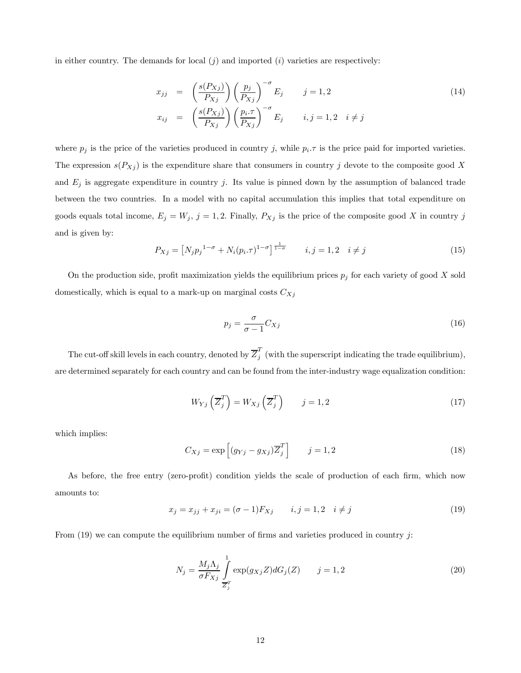in either country. The demands for local  $(j)$  and imported  $(i)$  varieties are respectively:

$$
x_{jj} = \left(\frac{s(P_{Xj})}{P_{Xj}}\right) \left(\frac{p_j}{P_{Xj}}\right)^{-\sigma} E_j \qquad j = 1, 2
$$
  
\n
$$
x_{ij} = \left(\frac{s(P_{Xj})}{P_{Xj}}\right) \left(\frac{p_i \cdot \tau}{P_{Xj}}\right)^{-\sigma} E_j \qquad i, j = 1, 2 \quad i \neq j
$$
\n
$$
(14)
$$

where  $p_j$  is the price of the varieties produced in country j, while  $p_i.\tau$  is the price paid for imported varieties. The expression  $s(P_{Xj})$  is the expenditure share that consumers in country j devote to the composite good X and  $E_j$  is aggregate expenditure in country j. Its value is pinned down by the assumption of balanced trade between the two countries. In a model with no capital accumulation this implies that total expenditure on goods equals total income,  $E_j = W_j$ ,  $j = 1, 2$ . Finally,  $P_{Xj}$  is the price of the composite good X in country j and is given by:

$$
P_{Xj} = [N_j p_j^{1-\sigma} + N_i (p_i \cdot \tau)^{1-\sigma}]^{\frac{1}{1-\sigma}} \qquad i, j = 1, 2 \quad i \neq j \tag{15}
$$

On the production side, profit maximization yields the equilibrium prices  $p_j$  for each variety of good X sold domestically, which is equal to a mark-up on marginal costs  $C_{Xj}$ 

$$
p_j = \frac{\sigma}{\sigma - 1} C_{Xj} \tag{16}
$$

The cut-off skill levels in each country, denoted by  $\overline{Z}_j^T$  (with the superscript indicating the trade equilibrium), are determined separately for each country and can be found from the inter-industry wage equalization condition:

$$
W_{Yj}\left(\overline{Z}_{j}^{T}\right) = W_{Xj}\left(\overline{Z}_{j}^{T}\right) \qquad j = 1,2
$$
\n<sup>(17)</sup>

which implies:

$$
C_{Xj} = \exp\left[ (g_{Yj} - g_{Xj}) \overline{Z}_{j}^{T} \right] \qquad j = 1, 2
$$
\n(18)

As before, the free entry (zero-profit) condition yields the scale of production of each firm, which now amounts to:

$$
x_j = x_{jj} + x_{ji} = (\sigma - 1)F_{Xj} \qquad i, j = 1, 2 \quad i \neq j \tag{19}
$$

From  $(19)$  we can compute the equilibrium number of firms and varieties produced in country j:

$$
N_j = \frac{M_j \Lambda_j}{\sigma F_{Xj}} \int_{\overline{Z}_j^T} \exp(g_{Xj} Z) dG_j(Z) \qquad j = 1, 2
$$
\n(20)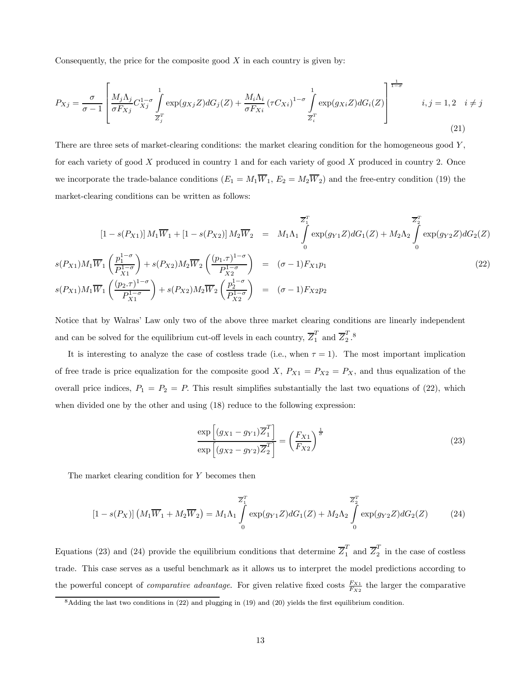Consequently, the price for the composite good  $X$  in each country is given by:

$$
P_{Xj} = \frac{\sigma}{\sigma - 1} \left[ \frac{M_j \Lambda_j}{\sigma F_{Xj}} C_{Xj}^{1-\sigma} \int_{\overline{Z}_j^T} \exp(g_{Xj} Z) dG_j(Z) + \frac{M_i \Lambda_i}{\sigma F_{Xi}} (\tau C_{Xi})^{1-\sigma} \int_{\overline{Z}_i^T} \exp(g_{Xi} Z) dG_i(Z) \right]^{\frac{1}{1-\sigma}} \qquad i, j = 1, 2 \quad i \neq j
$$
\n(21)

There are three sets of market-clearing conditions: the market clearing condition for the homogeneous good Y, for each variety of good X produced in country 1 and for each variety of good X produced in country 2. Once we incorporate the trade-balance conditions  $(E_1 = M_1 \overline{W}_1, E_2 = M_2 \overline{W}_2)$  and the free-entry condition (19) the market-clearing conditions can be written as follows:

$$
[1 - s(P_{X1})] M_1 \overline{W}_1 + [1 - s(P_{X2})] M_2 \overline{W}_2 = M_1 \Lambda_1 \int_0^{\overline{Z}_1^T} \exp(g_{Y1}Z) dG_1(Z) + M_2 \Lambda_2 \int_0^{\overline{Z}_2^T} \exp(g_{Y2}Z) dG_2(Z)
$$
  
\n
$$
s(P_{X1}) M_1 \overline{W}_1 \left(\frac{p_1^{1-\sigma}}{P_{X1}^{1-\sigma}}\right) + s(P_{X2}) M_2 \overline{W}_2 \left(\frac{(p_1 \cdot \tau)^{1-\sigma}}{P_{X2}^{1-\sigma}}\right) = (\sigma - 1) F_{X1} p_1
$$
  
\n
$$
s(P_{X1}) M_1 \overline{W}_1 \left(\frac{(p_2 \cdot \tau)^{1-\sigma}}{P_{X1}^{1-\sigma}}\right) + s(P_{X2}) M_2 \overline{W}_2 \left(\frac{p_2^{1-\sigma}}{P_{X2}^{1-\sigma}}\right) = (\sigma - 1) F_{X2} p_2
$$
\n(22)

Notice that by Walras' Law only two of the above three market clearing conditions are linearly independent and can be solved for the equilibrium cut-off levels in each country,  $\overline{Z}_1^T$  and  $\overline{Z}_2^T$ .<sup>8</sup>

It is interesting to analyze the case of costless trade (i.e., when  $\tau = 1$ ). The most important implication of free trade is price equalization for the composite good X,  $P_{X1} = P_{X2} = P_X$ , and thus equalization of the overall price indices,  $P_1 = P_2 = P$ . This result simplifies substantially the last two equations of (22), which when divided one by the other and using (18) reduce to the following expression:

$$
\frac{\exp\left[ (g_{X1} - g_{Y1}) \overline{Z}_1^T \right]}{\exp\left[ (g_{X2} - g_{Y2}) \overline{Z}_2^T \right]} = \left( \frac{F_{X1}}{F_{X2}} \right)^{\frac{1}{\sigma}}
$$
\n(23)

The market clearing condition for Y becomes then

$$
[1 - s(P_X)] (M_1 \overline{W}_1 + M_2 \overline{W}_2) = M_1 \Lambda_1 \int_0^{\overline{Z}_1^T} \exp(g_{Y1} Z) dG_1(Z) + M_2 \Lambda_2 \int_0^{\overline{Z}_2^T} \exp(g_{Y2} Z) dG_2(Z) \tag{24}
$$

Equations (23) and (24) provide the equilibrium conditions that determine  $\overline{Z}_1^T$  and  $\overline{Z}_2^T$  in the case of costless trade. This case serves as a useful benchmark as it allows us to interpret the model predictions according to the powerful concept of *comparative advantage*. For given relative fixed costs  $\frac{F_{X1}}{F_{X2}}$  the larger the comparative

<sup>8</sup>Adding the last two conditions in (22) and plugging in (19) and (20) yields the first equilibrium condition.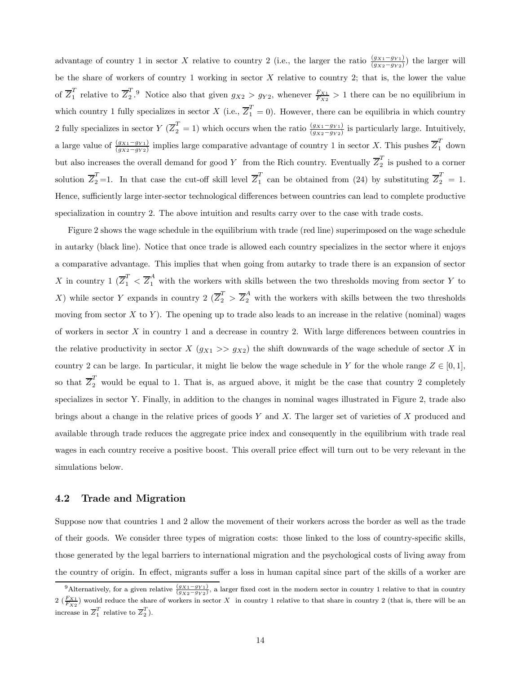advantage of country 1 in sector X relative to country 2 (i.e., the larger the ratio  $\frac{(gx_1-g_{Y_1})}{(gx_2-g_{Y_2})}$ ) the larger will be the share of workers of country 1 working in sector  $X$  relative to country 2; that is, the lower the value of  $\overline{Z}_1^T$  relative to  $\overline{Z}_2^T$ .<sup>9</sup> Notice also that given  $g_{X2} > g_{Y2}$ , whenever  $\frac{F_{X1}}{F_{X2}} > 1$  there can be no equilibrium in which country 1 fully specializes in sector X (i.e.,  $\overline{Z}_1^T = 0$ ). However, there can be equilibria in which country 2 fully specializes in sector  $Y(\overline{Z}_2^T = 1)$  which occurs when the ratio  $\frac{(g_{X1}-g_{Y1})}{(g_{X2}-g_{Y2})}$  is particularly large. Intuitively, a large value of  $\frac{(g_{X1}-g_{Y1})}{(g_{X2}-g_{Y2})}$  implies large comparative advantage of country 1 in sector X. This pushes  $\overline{Z}_1^T$  down but also increases the overall demand for good Y from the Rich country. Eventually  $\overline{Z}_2^T$  is pushed to a corner solution  $\overline{Z}_2^T$  =1. In that case the cut-off skill level  $\overline{Z}_1^T$  can be obtained from (24) by substituting  $\overline{Z}_2^T = 1$ . Hence, sufficiently large inter-sector technological differences between countries can lead to complete productive specialization in country 2. The above intuition and results carry over to the case with trade costs.

Figure 2 shows the wage schedule in the equilibrium with trade (red line) superimposed on the wage schedule in autarky (black line). Notice that once trade is allowed each country specializes in the sector where it enjoys a comparative advantage. This implies that when going from autarky to trade there is an expansion of sector X in country  $1 \left( \overline{Z}_1^T < \overline{Z}_1^A \right)$  with the workers with skills between the two thresholds moving from sector Y to X) while sector Y expands in country  $2 \left( \overline{Z}_2^T > \overline{Z}_2^A \right)$  with the workers with skills between the two thresholds moving from sector  $X$  to  $Y$ ). The opening up to trade also leads to an increase in the relative (nominal) wages of workers in sector  $X$  in country 1 and a decrease in country 2. With large differences between countries in the relative productivity in sector  $X(g_{X1} >> g_{X2})$  the shift downwards of the wage schedule of sector X in country 2 can be large. In particular, it might lie below the wage schedule in Y for the whole range  $Z \in [0,1]$ , so that  $\overline{Z}_2^T$  would be equal to 1. That is, as argued above, it might be the case that country 2 completely specializes in sector Y. Finally, in addition to the changes in nominal wages illustrated in Figure 2, trade also brings about a change in the relative prices of goods  $Y$  and  $X$ . The larger set of varieties of  $X$  produced and available through trade reduces the aggregate price index and consequently in the equilibrium with trade real wages in each country receive a positive boost. This overall price effect will turn out to be very relevant in the simulations below.

#### 4.2 Trade and Migration

Suppose now that countries 1 and 2 allow the movement of their workers across the border as well as the trade of their goods. We consider three types of migration costs: those linked to the loss of country-specific skills, those generated by the legal barriers to international migration and the psychological costs of living away from the country of origin. In effect, migrants suffer a loss in human capital since part of the skills of a worker are

<sup>&</sup>lt;sup>9</sup>Alternatively, for a given relative  $\frac{(g_{X1}-g_{Y1})}{(g_{X2}-g_{Y2})}$ , a larger fixed cost in the modern sector in country 1 relative to that in country  $2\left(\frac{F_{X1}}{F_{X2}}\right)$  would reduce the share of workers in sector X in country 1 relative to that share in country 2 (that is, there will be an increase in  $\overline{Z}_1^T$  relative to  $\overline{Z}_2^T$ ).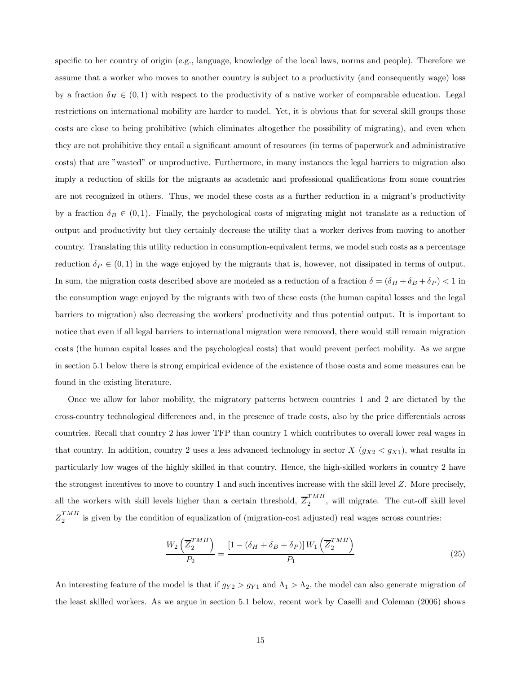specific to her country of origin (e.g., language, knowledge of the local laws, norms and people). Therefore we assume that a worker who moves to another country is subject to a productivity (and consequently wage) loss by a fraction  $\delta_H \in (0,1)$  with respect to the productivity of a native worker of comparable education. Legal restrictions on international mobility are harder to model. Yet, it is obvious that for several skill groups those costs are close to being prohibitive (which eliminates altogether the possibility of migrating), and even when they are not prohibitive they entail a significant amount of resources (in terms of paperwork and administrative costs) that are "wasted" or unproductive. Furthermore, in many instances the legal barriers to migration also imply a reduction of skills for the migrants as academic and professional qualifications from some countries are not recognized in others. Thus, we model these costs as a further reduction in a migrant's productivity by a fraction  $\delta_B \in (0,1)$ . Finally, the psychological costs of migrating might not translate as a reduction of output and productivity but they certainly decrease the utility that a worker derives from moving to another country. Translating this utility reduction in consumption-equivalent terms, we model such costs as a percentage reduction  $\delta_P \in (0,1)$  in the wage enjoyed by the migrants that is, however, not dissipated in terms of output. In sum, the migration costs described above are modeled as a reduction of a fraction  $\delta = (\delta_H + \delta_B + \delta_P) < 1$  in the consumption wage enjoyed by the migrants with two of these costs (the human capital losses and the legal barriers to migration) also decreasing the workers' productivity and thus potential output. It is important to notice that even if all legal barriers to international migration were removed, there would still remain migration costs (the human capital losses and the psychological costs) that would prevent perfect mobility. As we argue in section 5.1 below there is strong empirical evidence of the existence of those costs and some measures can be found in the existing literature.

Once we allow for labor mobility, the migratory patterns between countries 1 and 2 are dictated by the cross-country technological differences and, in the presence of trade costs, also by the price differentials across countries. Recall that country 2 has lower TFP than country 1 which contributes to overall lower real wages in that country. In addition, country 2 uses a less advanced technology in sector  $X$  ( $g_{X2} < g_{X1}$ ), what results in particularly low wages of the highly skilled in that country. Hence, the high-skilled workers in country 2 have the strongest incentives to move to country 1 and such incentives increase with the skill level Z. More precisely, all the workers with skill levels higher than a certain threshold,  $\overline{Z}_2^{TMI}$ , will migrate. The cut-off skill level  $\overline{Z}_2^{TMH}$  is given by the condition of equalization of (migration-cost adjusted) real wages across countries:

$$
\frac{W_2\left(\overline{Z}_2^{TMH}\right)}{P_2} = \frac{\left[1 - \left(\delta_H + \delta_B + \delta_P\right)\right]W_1\left(\overline{Z}_2^{TMH}\right)}{P_1} \tag{25}
$$

An interesting feature of the model is that if  $g_{Y2} > g_{Y1}$  and  $\Lambda_1 > \Lambda_2$ , the model can also generate migration of the least skilled workers. As we argue in section 5.1 below, recent work by Caselli and Coleman (2006) shows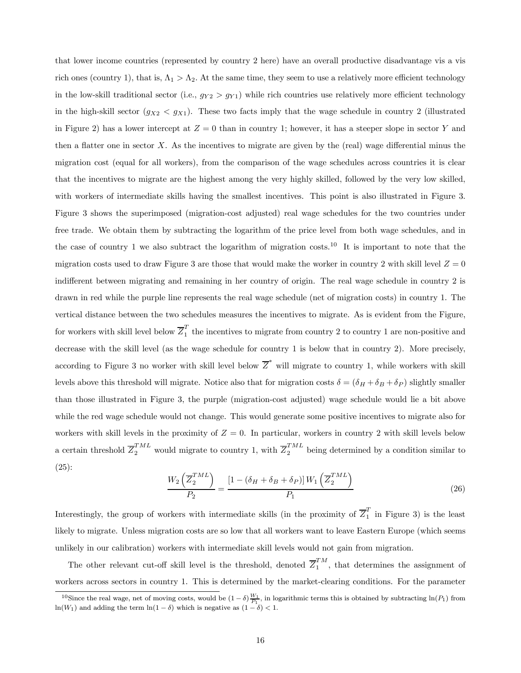that lower income countries (represented by country 2 here) have an overall productive disadvantage vis a vis rich ones (country 1), that is,  $\Lambda_1 > \Lambda_2$ . At the same time, they seem to use a relatively more efficient technology in the low-skill traditional sector (i.e.,  $g_{Y2} > g_{Y1}$ ) while rich countries use relatively more efficient technology in the high-skill sector  $(g_{X2} < g_{X1})$ . These two facts imply that the wage schedule in country 2 (illustrated in Figure 2) has a lower intercept at  $Z = 0$  than in country 1; however, it has a steeper slope in sector Y and then a flatter one in sector  $X$ . As the incentives to migrate are given by the (real) wage differential minus the migration cost (equal for all workers), from the comparison of the wage schedules across countries it is clear that the incentives to migrate are the highest among the very highly skilled, followed by the very low skilled, with workers of intermediate skills having the smallest incentives. This point is also illustrated in Figure 3. Figure 3 shows the superimposed (migration-cost adjusted) real wage schedules for the two countries under free trade. We obtain them by subtracting the logarithm of the price level from both wage schedules, and in the case of country 1 we also subtract the logarithm of migration costs.<sup>10</sup> It is important to note that the migration costs used to draw Figure 3 are those that would make the worker in country 2 with skill level  $Z = 0$ indifferent between migrating and remaining in her country of origin. The real wage schedule in country 2 is drawn in red while the purple line represents the real wage schedule (net of migration costs) in country 1. The vertical distance between the two schedules measures the incentives to migrate. As is evident from the Figure, for workers with skill level below  $\overline{Z}_1^T$  the incentives to migrate from country 2 to country 1 are non-positive and decrease with the skill level (as the wage schedule for country 1 is below that in country 2). More precisely, according to Figure 3 no worker with skill level below  $\overline{Z}^*$  will migrate to country 1, while workers with skill levels above this threshold will migrate. Notice also that for migration costs  $\delta = (\delta_H + \delta_B + \delta_P)$  slightly smaller than those illustrated in Figure 3, the purple (migration-cost adjusted) wage schedule would lie a bit above while the red wage schedule would not change. This would generate some positive incentives to migrate also for workers with skill levels in the proximity of  $Z = 0$ . In particular, workers in country 2 with skill levels below a certain threshold  $\overline{Z}_2^{TML}$  would migrate to country 1, with  $\overline{Z}_2^{TML}$  being determined by a condition similar to (25):

$$
\frac{W_2\left(\overline{Z}_2^{TML}\right)}{P_2} = \frac{\left[1 - \left(\delta_H + \delta_B + \delta_P\right)\right]W_1\left(\overline{Z}_2^{TML}\right)}{P_1} \tag{26}
$$

Interestingly, the group of workers with intermediate skills (in the proximity of  $\overline{Z}_1^T$  in Figure 3) is the least likely to migrate. Unless migration costs are so low that all workers want to leave Eastern Europe (which seems unlikely in our calibration) workers with intermediate skill levels would not gain from migration.

The other relevant cut-off skill level is the threshold, denoted  $\overline{Z}^{TM}_1$ , that determines the assignment of workers across sectors in country 1. This is determined by the market-clearing conditions. For the parameter

<sup>&</sup>lt;sup>10</sup>Since the real wage, net of moving costs, would be  $(1 - \delta) \frac{W_1}{P_1}$ , in logarithmic terms this is obtained by subtracting ln(P<sub>1</sub>) from ln( $W_1$ ) and adding the term ln(1 –  $\delta$ ) which is negative as (1 –  $\delta$ ) < 1.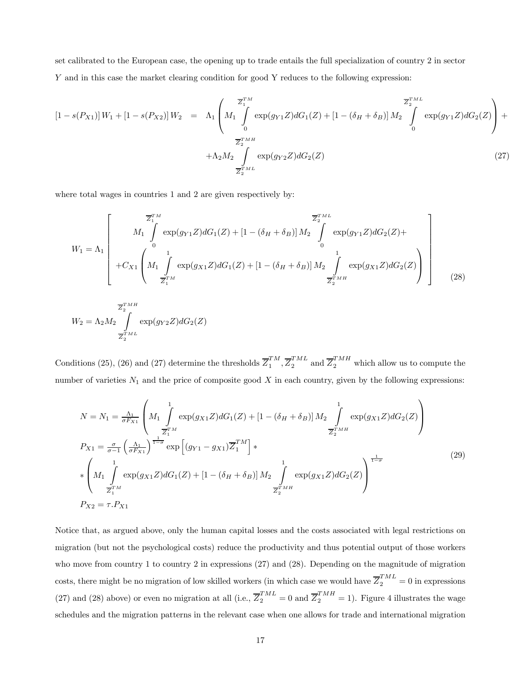set calibrated to the European case, the opening up to trade entails the full specialization of country 2 in sector Y and in this case the market clearing condition for good Y reduces to the following expression:

$$
[1 - s(P_{X1})] W_1 + [1 - s(P_{X2})] W_2 = \Lambda_1 \left( M_1 \int_0^{\overline{Z}_1^{TM}} \exp(g_{Y1} Z) dG_1(Z) + [1 - (\delta_H + \delta_B)] M_2 \int_0^{\overline{Z}_2^{TML}} \exp(g_{Y1} Z) dG_2(Z) \right) + \frac{\overline{Z}_2^{TML}}{\overline{Z}_2^{TMH}} + \Lambda_2 M_2 \int_{\overline{Z}_2^{TML}} \exp(g_{Y2} Z) dG_2(Z) \tag{27}
$$

where total wages in countries 1 and 2 are given respectively by:

$$
W_{1} = \Lambda_{1} \begin{bmatrix} \overline{z}_{1}^{TM} & \overline{z}_{2}^{TML} \\ M_{1} \int_{0}^{T_{1}} \exp(g_{Y1}Z) dG_{1}(Z) + \left[1 - (\delta_{H} + \delta_{B})\right] M_{2} \int_{0}^{T_{2}ML} \exp(g_{Y1}Z) dG_{2}(Z) + \\ + C_{X1} \begin{bmatrix} 1 & \frac{1}{2} \\ M_{1} \int_{0}^{T_{2}} \exp(g_{X1}Z) dG_{1}(Z) + \left[1 - (\delta_{H} + \delta_{B})\right] M_{2} \int_{\overline{Z}_{2}^{TMH}} \exp(g_{X1}Z) dG_{2}(Z) \\ \end{bmatrix} \end{bmatrix}
$$
(28)

$$
W_2 = \Lambda_2 M_2 \int_{\overline{Z_2}^{TM}}^{\overline{Z_2}^{TMH}} \exp(g_{Y2}Z) dG_2(Z)
$$

Conditions (25), (26) and (27) determine the thresholds  $\overline{Z}^{TM}_{1}, \overline{Z}^{TML}_{2}$  and  $\overline{Z}^{TMH}_{2}$  which allow us to compute the number of varieties  $N_1$  and the price of composite good  $X$  in each country, given by the following expressions:

$$
N = N_1 = \frac{\Lambda_1}{\sigma F_{X1}} \left( M_1 \int_{\frac{Z}{T_1}^{TM}}^1 \exp(g_{X1}Z) dG_1(Z) + [1 - (\delta_H + \delta_B)] M_2 \int_{\frac{Z}{Z_2}^{TM}}^1 \exp(g_{X1}Z) dG_2(Z) \right)
$$
  
\n
$$
P_{X1} = \frac{\sigma}{\sigma - 1} \left( \frac{\Lambda_1}{\sigma F_{X1}} \right)^{\frac{1}{1 - \sigma}} \exp \left[ (g_{Y1} - g_{X1}) \overline{Z}_1^{TM} \right] * \left( M_1 \int_{\frac{Z}{Z_1}^{TM}}^1 \exp(g_{X1}Z) dG_1(Z) + [1 - (\delta_H + \delta_B)] M_2 \int_{\frac{Z}{Z_2}^{TM}}^1 \exp(g_{X1}Z) dG_2(Z) \right)^{\frac{1}{1 - \sigma}}
$$
(29)  
\n
$$
P_{X2} = \tau \cdot P_{X1}
$$

Notice that, as argued above, only the human capital losses and the costs associated with legal restrictions on migration (but not the psychological costs) reduce the productivity and thus potential output of those workers who move from country 1 to country 2 in expressions (27) and (28). Depending on the magnitude of migration costs, there might be no migration of low skilled workers (in which case we would have  $\overline{Z}_2^{TML} = 0$  in expressions (27) and (28) above) or even no migration at all (i.e.,  $\overline{Z}_2^{TML} = 0$  and  $\overline{Z}_2^{TMH} = 1$ ). Figure 4 illustrates the wage schedules and the migration patterns in the relevant case when one allows for trade and international migration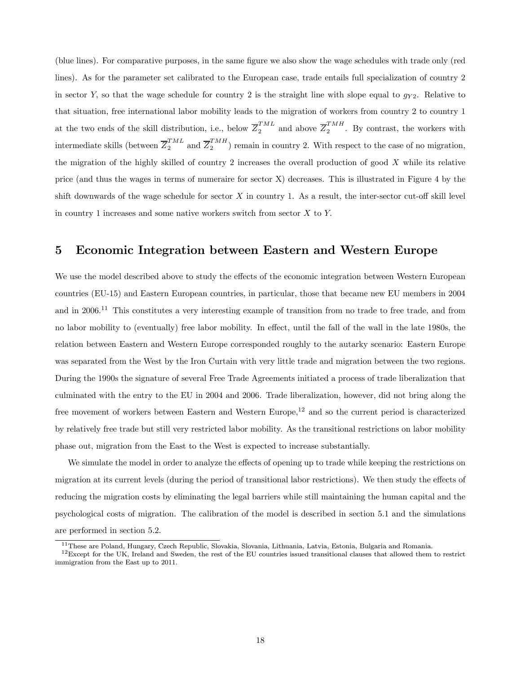(blue lines). For comparative purposes, in the same figure we also show the wage schedules with trade only (red lines). As for the parameter set calibrated to the European case, trade entails full specialization of country 2 in sector Y, so that the wage schedule for country 2 is the straight line with slope equal to  $g_{Y2}$ . Relative to that situation, free international labor mobility leads to the migration of workers from country 2 to country 1 at the two ends of the skill distribution, i.e., below  $\overline{Z}_2^{TML}$  and above  $\overline{Z}_2^{TMH}$ . By contrast, the workers with intermediate skills (between  $\overline{Z}_2^{TML}$  and  $\overline{Z}_2^{TMH}$ ) remain in country 2. With respect to the case of no migration, the migration of the highly skilled of country 2 increases the overall production of good  $X$  while its relative price (and thus the wages in terms of numeraire for sector X) decreases. This is illustrated in Figure 4 by the shift downwards of the wage schedule for sector  $X$  in country 1. As a result, the inter-sector cut-off skill level in country 1 increases and some native workers switch from sector  $X$  to  $Y$ .

### 5 Economic Integration between Eastern and Western Europe

We use the model described above to study the effects of the economic integration between Western European countries (EU-15) and Eastern European countries, in particular, those that became new EU members in 2004 and in 2006.<sup>11</sup> This constitutes a very interesting example of transition from no trade to free trade, and from no labor mobility to (eventually) free labor mobility. In effect, until the fall of the wall in the late 1980s, the relation between Eastern and Western Europe corresponded roughly to the autarky scenario: Eastern Europe was separated from the West by the Iron Curtain with very little trade and migration between the two regions. During the 1990s the signature of several Free Trade Agreements initiated a process of trade liberalization that culminated with the entry to the EU in 2004 and 2006. Trade liberalization, however, did not bring along the free movement of workers between Eastern and Western Europe,<sup>12</sup> and so the current period is characterized by relatively free trade but still very restricted labor mobility. As the transitional restrictions on labor mobility phase out, migration from the East to the West is expected to increase substantially.

We simulate the model in order to analyze the effects of opening up to trade while keeping the restrictions on migration at its current levels (during the period of transitional labor restrictions). We then study the effects of reducing the migration costs by eliminating the legal barriers while still maintaining the human capital and the psychological costs of migration. The calibration of the model is described in section 5.1 and the simulations are performed in section 5.2.

<sup>11</sup>These are Poland, Hungary, Czech Republic, Slovakia, Slovania, Lithuania, Latvia, Estonia, Bulgaria and Romania.

 $12$ Except for the UK, Ireland and Sweden, the rest of the EU countries issued transitional clauses that allowed them to restrict immigration from the East up to 2011.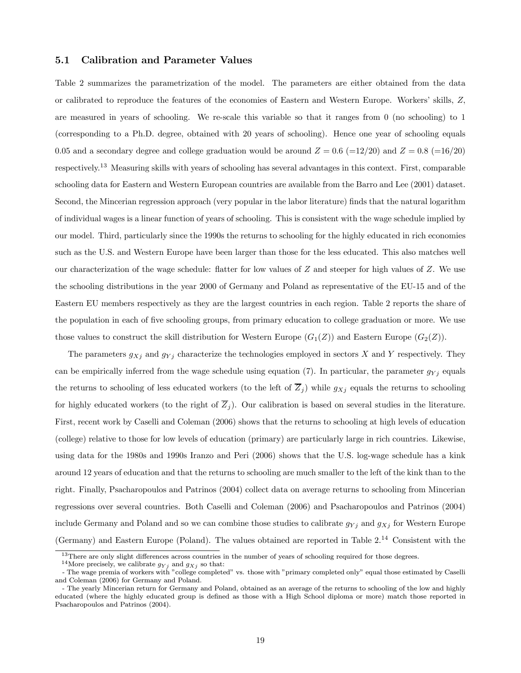#### 5.1 Calibration and Parameter Values

Table 2 summarizes the parametrization of the model. The parameters are either obtained from the data or calibrated to reproduce the features of the economies of Eastern and Western Europe. Workers' skills, Z, are measured in years of schooling. We re-scale this variable so that it ranges from 0 (no schooling) to 1 (corresponding to a Ph.D. degree, obtained with 20 years of schooling). Hence one year of schooling equals 0.05 and a secondary degree and college graduation would be around  $Z = 0.6$  (=12/20) and  $Z = 0.8$  (=16/20) respectively.<sup>13</sup> Measuring skills with years of schooling has several advantages in this context. First, comparable schooling data for Eastern and Western European countries are available from the Barro and Lee (2001) dataset. Second, the Mincerian regression approach (very popular in the labor literature) finds that the natural logarithm of individual wages is a linear function of years of schooling. This is consistent with the wage schedule implied by our model. Third, particularly since the 1990s the returns to schooling for the highly educated in rich economies such as the U.S. and Western Europe have been larger than those for the less educated. This also matches well our characterization of the wage schedule: flatter for low values of  $Z$  and steeper for high values of  $Z$ . We use the schooling distributions in the year 2000 of Germany and Poland as representative of the EU-15 and of the Eastern EU members respectively as they are the largest countries in each region. Table 2 reports the share of the population in each of five schooling groups, from primary education to college graduation or more. We use those values to construct the skill distribution for Western Europe  $(G_1(Z))$  and Eastern Europe  $(G_2(Z))$ .

The parameters  $g_{Xj}$  and  $g_{Yj}$  characterize the technologies employed in sectors X and Y respectively. They can be empirically inferred from the wage schedule using equation (7). In particular, the parameter  $g_{Yj}$  equals the returns to schooling of less educated workers (to the left of  $\overline{Z}_j$ ) while  $g_{Xj}$  equals the returns to schooling for highly educated workers (to the right of  $\overline{Z}_j$ ). Our calibration is based on several studies in the literature. First, recent work by Caselli and Coleman (2006) shows that the returns to schooling at high levels of education (college) relative to those for low levels of education (primary) are particularly large in rich countries. Likewise, using data for the 1980s and 1990s Iranzo and Peri (2006) shows that the U.S. log-wage schedule has a kink around 12 years of education and that the returns to schooling are much smaller to the left of the kink than to the right. Finally, Psacharopoulos and Patrinos (2004) collect data on average returns to schooling from Mincerian regressions over several countries. Both Caselli and Coleman (2006) and Psacharopoulos and Patrinos (2004) include Germany and Poland and so we can combine those studies to calibrate  $g_{Yj}$  and  $g_{Xj}$  for Western Europe (Germany) and Eastern Europe (Poland). The values obtained are reported in Table 2.<sup>14</sup> Consistent with the

<sup>&</sup>lt;sup>13</sup>There are only slight differences across countries in the number of years of schooling required for those degrees.

 $^{14}\rm{More}$  precisely, we calibrate  $g_{Yj}$  and  $g_{Xj}$  so that:

<sup>-</sup> The wage premia of workers with "college completed" vs. those with "primary completed only" equal those estimated by Caselli and Coleman (2006) for Germany and Poland.

<sup>-</sup> The yearly Mincerian return for Germany and Poland, obtained as an average of the returns to schooling of the low and highly educated (where the highly educated group is defined as those with a High School diploma or more) match those reported in Psacharopoulos and Patrinos (2004).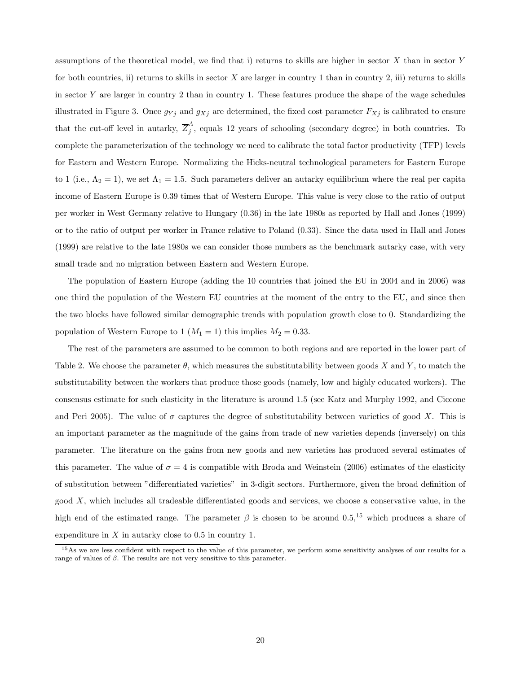assumptions of the theoretical model, we find that i) returns to skills are higher in sector X than in sector Y for both countries, ii) returns to skills in sector  $X$  are larger in country 1 than in country 2, iii) returns to skills in sector Y are larger in country 2 than in country 1. These features produce the shape of the wage schedules illustrated in Figure 3. Once  $g_{Yj}$  and  $g_{Xj}$  are determined, the fixed cost parameter  $F_{Xj}$  is calibrated to ensure that the cut-off level in autarky,  $\overline{Z}_{j}^{A}$ , equals 12 years of schooling (secondary degree) in both countries. To complete the parameterization of the technology we need to calibrate the total factor productivity (TFP) levels for Eastern and Western Europe. Normalizing the Hicks-neutral technological parameters for Eastern Europe to 1 (i.e.,  $\Lambda_2 = 1$ ), we set  $\Lambda_1 = 1.5$ . Such parameters deliver an autarky equilibrium where the real per capita income of Eastern Europe is 0.39 times that of Western Europe. This value is very close to the ratio of output per worker in West Germany relative to Hungary (0.36) in the late 1980s as reported by Hall and Jones (1999) or to the ratio of output per worker in France relative to Poland (0.33). Since the data used in Hall and Jones (1999) are relative to the late 1980s we can consider those numbers as the benchmark autarky case, with very small trade and no migration between Eastern and Western Europe.

The population of Eastern Europe (adding the 10 countries that joined the EU in 2004 and in 2006) was one third the population of the Western EU countries at the moment of the entry to the EU, and since then the two blocks have followed similar demographic trends with population growth close to 0. Standardizing the population of Western Europe to 1 ( $M_1 = 1$ ) this implies  $M_2 = 0.33$ .

The rest of the parameters are assumed to be common to both regions and are reported in the lower part of Table 2. We choose the parameter  $\theta$ , which measures the substitutability between goods X and Y, to match the substitutability between the workers that produce those goods (namely, low and highly educated workers). The consensus estimate for such elasticity in the literature is around 1.5 (see Katz and Murphy 1992, and Ciccone and Peri 2005). The value of  $\sigma$  captures the degree of substitutability between varieties of good X. This is an important parameter as the magnitude of the gains from trade of new varieties depends (inversely) on this parameter. The literature on the gains from new goods and new varieties has produced several estimates of this parameter. The value of  $\sigma = 4$  is compatible with Broda and Weinstein (2006) estimates of the elasticity of substitution between "differentiated varieties" in 3-digit sectors. Furthermore, given the broad definition of good  $X$ , which includes all tradeable differentiated goods and services, we choose a conservative value, in the high end of the estimated range. The parameter  $\beta$  is chosen to be around 0.5,<sup>15</sup> which produces a share of expenditure in  $X$  in autarky close to 0.5 in country 1.

<sup>&</sup>lt;sup>15</sup>As we are less confident with respect to the value of this parameter, we perform some sensitivity analyses of our results for a range of values of  $\beta$ . The results are not very sensitive to this parameter.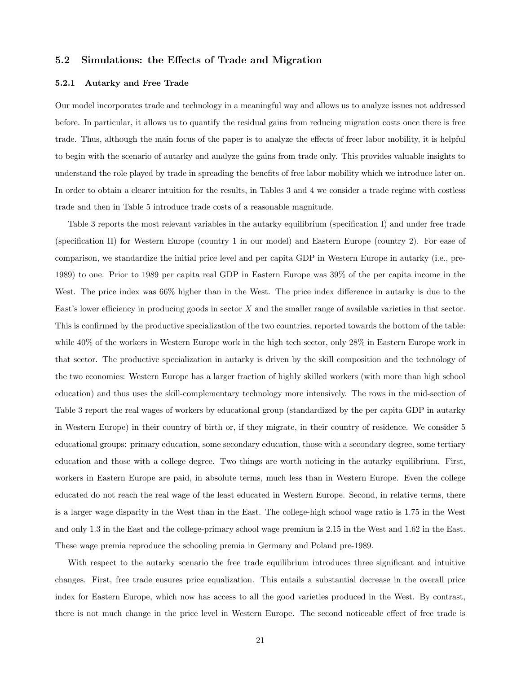#### 5.2 Simulations: the Effects of Trade and Migration

#### 5.2.1 Autarky and Free Trade

Our model incorporates trade and technology in a meaningful way and allows us to analyze issues not addressed before. In particular, it allows us to quantify the residual gains from reducing migration costs once there is free trade. Thus, although the main focus of the paper is to analyze the effects of freer labor mobility, it is helpful to begin with the scenario of autarky and analyze the gains from trade only. This provides valuable insights to understand the role played by trade in spreading the benefits of free labor mobility which we introduce later on. In order to obtain a clearer intuition for the results, in Tables 3 and 4 we consider a trade regime with costless trade and then in Table 5 introduce trade costs of a reasonable magnitude.

Table 3 reports the most relevant variables in the autarky equilibrium (specification I) and under free trade (specification II) for Western Europe (country 1 in our model) and Eastern Europe (country 2). For ease of comparison, we standardize the initial price level and per capita GDP in Western Europe in autarky (i.e., pre-1989) to one. Prior to 1989 per capita real GDP in Eastern Europe was 39% of the per capita income in the West. The price index was 66% higher than in the West. The price index difference in autarky is due to the East's lower efficiency in producing goods in sector X and the smaller range of available varieties in that sector. This is confirmed by the productive specialization of the two countries, reported towards the bottom of the table: while 40% of the workers in Western Europe work in the high tech sector, only 28% in Eastern Europe work in that sector. The productive specialization in autarky is driven by the skill composition and the technology of the two economies: Western Europe has a larger fraction of highly skilled workers (with more than high school education) and thus uses the skill-complementary technology more intensively. The rows in the mid-section of Table 3 report the real wages of workers by educational group (standardized by the per capita GDP in autarky in Western Europe) in their country of birth or, if they migrate, in their country of residence. We consider 5 educational groups: primary education, some secondary education, those with a secondary degree, some tertiary education and those with a college degree. Two things are worth noticing in the autarky equilibrium. First, workers in Eastern Europe are paid, in absolute terms, much less than in Western Europe. Even the college educated do not reach the real wage of the least educated in Western Europe. Second, in relative terms, there is a larger wage disparity in the West than in the East. The college-high school wage ratio is 1.75 in the West and only 1.3 in the East and the college-primary school wage premium is 2.15 in the West and 1.62 in the East. These wage premia reproduce the schooling premia in Germany and Poland pre-1989.

With respect to the autarky scenario the free trade equilibrium introduces three significant and intuitive changes. First, free trade ensures price equalization. This entails a substantial decrease in the overall price index for Eastern Europe, which now has access to all the good varieties produced in the West. By contrast, there is not much change in the price level in Western Europe. The second noticeable effect of free trade is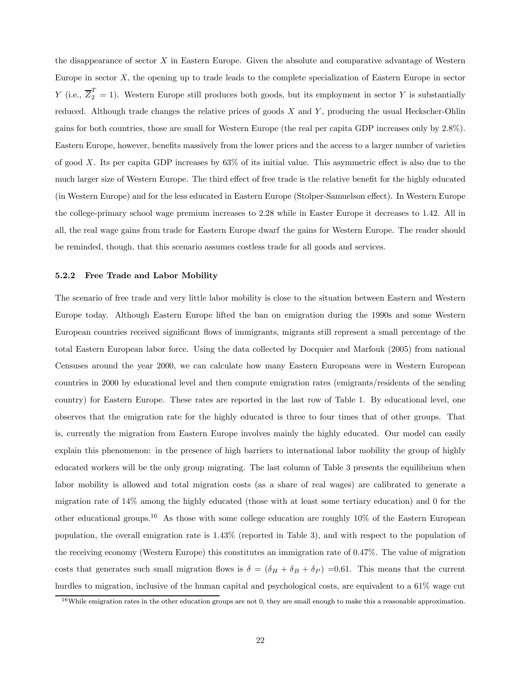the disappearance of sector  $X$  in Eastern Europe. Given the absolute and comparative advantage of Western Europe in sector X, the opening up to trade leads to the complete specialization of Eastern Europe in sector Y (i.e.,  $\overline{Z}_2^T = 1$ ). Western Europe still produces both goods, but its employment in sector Y is substantially reduced. Although trade changes the relative prices of goods  $X$  and  $Y$ , producing the usual Heckscher-Ohlin gains for both countries, those are small for Western Europe (the real per capita GDP increases only by 2.8%). Eastern Europe, however, benefits massively from the lower prices and the access to a larger number of varieties of good X. Its per capita GDP increases by 63% of its initial value. This asymmetric effect is also due to the much larger size of Western Europe. The third effect of free trade is the relative benefit for the highly educated (in Western Europe) and for the less educated in Eastern Europe (Stolper-Samuelson effect). In Western Europe the college-primary school wage premium increases to 2.28 while in Easter Europe it decreases to 1.42. All in all, the real wage gains from trade for Eastern Europe dwarf the gains for Western Europe. The reader should be reminded, though, that this scenario assumes costless trade for all goods and services.

#### 5.2.2 Free Trade and Labor Mobility

The scenario of free trade and very little labor mobility is close to the situation between Eastern and Western Europe today. Although Eastern Europe lifted the ban on emigration during the 1990s and some Western European countries received significant flows of immigrants, migrants still represent a small percentage of the total Eastern European labor force. Using the data collected by Docquier and Marfouk (2005) from national Censuses around the year 2000, we can calculate how many Eastern Europeans were in Western European countries in 2000 by educational level and then compute emigration rates (emigrants/residents of the sending country) for Eastern Europe. These rates are reported in the last row of Table 1. By educational level, one observes that the emigration rate for the highly educated is three to four times that of other groups. That is, currently the migration from Eastern Europe involves mainly the highly educated. Our model can easily explain this phenomenon: in the presence of high barriers to international labor mobility the group of highly educated workers will be the only group migrating. The last column of Table 3 presents the equilibrium when labor mobility is allowed and total migration costs (as a share of real wages) are calibrated to generate a migration rate of 14% among the highly educated (those with at least some tertiary education) and 0 for the other educational groups.<sup>16</sup> As those with some college education are roughly  $10\%$  of the Eastern European population, the overall emigration rate is 1.43% (reported in Table 3), and with respect to the population of the receiving economy (Western Europe) this constitutes an immigration rate of 0.47%. The value of migration costs that generates such small migration flows is  $\delta = (\delta_H + \delta_B + \delta_P) = 0.61$ . This means that the current hurdles to migration, inclusive of the human capital and psychological costs, are equivalent to a 61% wage cut

 $16$ While emigration rates in the other education groups are not 0, they are small enough to make this a reasonable approximation.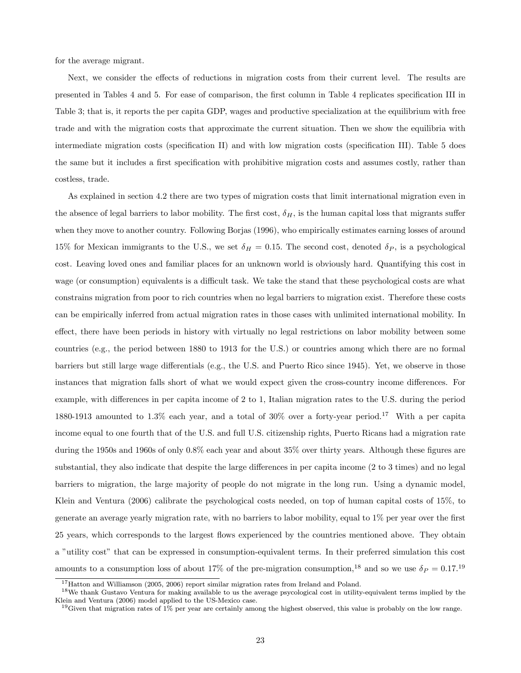for the average migrant.

Next, we consider the effects of reductions in migration costs from their current level. The results are presented in Tables 4 and 5. For ease of comparison, the first column in Table 4 replicates specification III in Table 3; that is, it reports the per capita GDP, wages and productive specialization at the equilibrium with free trade and with the migration costs that approximate the current situation. Then we show the equilibria with intermediate migration costs (specification II) and with low migration costs (specification III). Table 5 does the same but it includes a first specification with prohibitive migration costs and assumes costly, rather than costless, trade.

As explained in section 4.2 there are two types of migration costs that limit international migration even in the absence of legal barriers to labor mobility. The first cost,  $\delta_H$ , is the human capital loss that migrants suffer when they move to another country. Following Borjas (1996), who empirically estimates earning losses of around 15% for Mexican immigrants to the U.S., we set  $\delta_H = 0.15$ . The second cost, denoted  $\delta_P$ , is a psychological cost. Leaving loved ones and familiar places for an unknown world is obviously hard. Quantifying this cost in wage (or consumption) equivalents is a difficult task. We take the stand that these psychological costs are what constrains migration from poor to rich countries when no legal barriers to migration exist. Therefore these costs can be empirically inferred from actual migration rates in those cases with unlimited international mobility. In effect, there have been periods in history with virtually no legal restrictions on labor mobility between some countries (e.g., the period between 1880 to 1913 for the U.S.) or countries among which there are no formal barriers but still large wage differentials (e.g., the U.S. and Puerto Rico since 1945). Yet, we observe in those instances that migration falls short of what we would expect given the cross-country income differences. For example, with differences in per capita income of 2 to 1, Italian migration rates to the U.S. during the period 1880-1913 amounted to 1.3% each year, and a total of 30% over a forty-year period.<sup>17</sup> With a per capita income equal to one fourth that of the U.S. and full U.S. citizenship rights, Puerto Ricans had a migration rate during the 1950s and 1960s of only 0.8% each year and about 35% over thirty years. Although these figures are substantial, they also indicate that despite the large differences in per capita income (2 to 3 times) and no legal barriers to migration, the large majority of people do not migrate in the long run. Using a dynamic model, Klein and Ventura (2006) calibrate the psychological costs needed, on top of human capital costs of 15%, to generate an average yearly migration rate, with no barriers to labor mobility, equal to 1% per year over the first 25 years, which corresponds to the largest flows experienced by the countries mentioned above. They obtain a "utility cost" that can be expressed in consumption-equivalent terms. In their preferred simulation this cost amounts to a consumption loss of about 17% of the pre-migration consumption,<sup>18</sup> and so we use  $\delta_P = 0.17$ .<sup>19</sup>

<sup>&</sup>lt;sup>17</sup>Hatton and Williamson (2005, 2006) report similar migration rates from Ireland and Poland.

<sup>&</sup>lt;sup>18</sup>We thank Gustavo Ventura for making available to us the average psycological cost in utility-equivalent terms implied by the Klein and Ventura (2006) model applied to the US-Mexico case.

 $19$  Given that migration rates of 1% per year are certainly among the highest observed, this value is probably on the low range.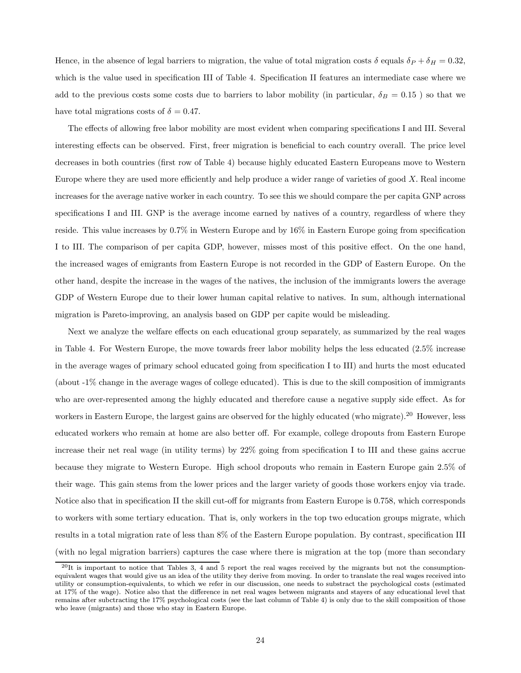Hence, in the absence of legal barriers to migration, the value of total migration costs  $\delta$  equals  $\delta_P + \delta_H = 0.32$ , which is the value used in specification III of Table 4. Specification II features an intermediate case where we add to the previous costs some costs due to barriers to labor mobility (in particular,  $\delta_B = 0.15$ ) so that we have total migrations costs of  $\delta = 0.47$ .

The effects of allowing free labor mobility are most evident when comparing specifications I and III. Several interesting effects can be observed. First, freer migration is beneficial to each country overall. The price level decreases in both countries (first row of Table 4) because highly educated Eastern Europeans move to Western Europe where they are used more efficiently and help produce a wider range of varieties of good X. Real income increases for the average native worker in each country. To see this we should compare the per capita GNP across specifications I and III. GNP is the average income earned by natives of a country, regardless of where they reside. This value increases by 0.7% in Western Europe and by 16% in Eastern Europe going from specification I to III. The comparison of per capita GDP, however, misses most of this positive effect. On the one hand, the increased wages of emigrants from Eastern Europe is not recorded in the GDP of Eastern Europe. On the other hand, despite the increase in the wages of the natives, the inclusion of the immigrants lowers the average GDP of Western Europe due to their lower human capital relative to natives. In sum, although international migration is Pareto-improving, an analysis based on GDP per capite would be misleading.

Next we analyze the welfare effects on each educational group separately, as summarized by the real wages in Table 4. For Western Europe, the move towards freer labor mobility helps the less educated (2.5% increase in the average wages of primary school educated going from specification I to III) and hurts the most educated (about -1% change in the average wages of college educated). This is due to the skill composition of immigrants who are over-represented among the highly educated and therefore cause a negative supply side effect. As for workers in Eastern Europe, the largest gains are observed for the highly educated (who migrate).<sup>20</sup> However, less educated workers who remain at home are also better off. For example, college dropouts from Eastern Europe increase their net real wage (in utility terms) by 22% going from specification I to III and these gains accrue because they migrate to Western Europe. High school dropouts who remain in Eastern Europe gain 2.5% of their wage. This gain stems from the lower prices and the larger variety of goods those workers enjoy via trade. Notice also that in specification II the skill cut-off for migrants from Eastern Europe is 0.758, which corresponds to workers with some tertiary education. That is, only workers in the top two education groups migrate, which results in a total migration rate of less than 8% of the Eastern Europe population. By contrast, specification III (with no legal migration barriers) captures the case where there is migration at the top (more than secondary

 $^{20}$ It is important to notice that Tables 3, 4 and 5 report the real wages received by the migrants but not the consumptionequivalent wages that would give us an idea of the utility they derive from moving. In order to translate the real wages received into utility or consumption-equivalents, to which we refer in our discussion, one needs to substract the psychological costs (estimated at 17% of the wage). Notice also that the difference in net real wages between migrants and stayers of any educational level that remains after subctracting the 17% psychological costs (see the last column of Table 4) is only due to the skill composition of those who leave (migrants) and those who stay in Eastern Europe.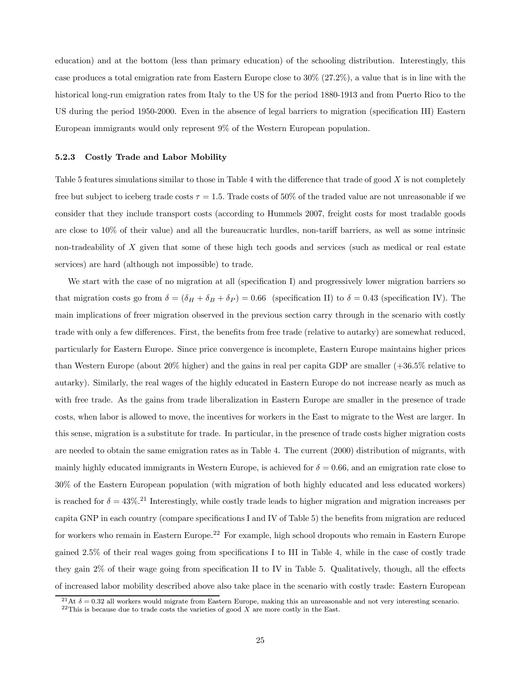education) and at the bottom (less than primary education) of the schooling distribution. Interestingly, this case produces a total emigration rate from Eastern Europe close to 30% (27.2%), a value that is in line with the historical long-run emigration rates from Italy to the US for the period 1880-1913 and from Puerto Rico to the US during the period 1950-2000. Even in the absence of legal barriers to migration (specification III) Eastern European immigrants would only represent 9% of the Western European population.

#### 5.2.3 Costly Trade and Labor Mobility

Table 5 features simulations similar to those in Table 4 with the difference that trade of good  $X$  is not completely free but subject to iceberg trade costs  $\tau = 1.5$ . Trade costs of 50% of the traded value are not unreasonable if we consider that they include transport costs (according to Hummels 2007, freight costs for most tradable goods are close to 10% of their value) and all the bureaucratic hurdles, non-tariff barriers, as well as some intrinsic non-tradeability of X given that some of these high tech goods and services (such as medical or real estate services) are hard (although not impossible) to trade.

We start with the case of no migration at all (specification I) and progressively lower migration barriers so that migration costs go from  $\delta = (\delta_H + \delta_B + \delta_P) = 0.66$  (specification II) to  $\delta = 0.43$  (specification IV). The main implications of freer migration observed in the previous section carry through in the scenario with costly trade with only a few differences. First, the benefits from free trade (relative to autarky) are somewhat reduced, particularly for Eastern Europe. Since price convergence is incomplete, Eastern Europe maintains higher prices than Western Europe (about 20% higher) and the gains in real per capita GDP are smaller (+36.5% relative to autarky). Similarly, the real wages of the highly educated in Eastern Europe do not increase nearly as much as with free trade. As the gains from trade liberalization in Eastern Europe are smaller in the presence of trade costs, when labor is allowed to move, the incentives for workers in the East to migrate to the West are larger. In this sense, migration is a substitute for trade. In particular, in the presence of trade costs higher migration costs are needed to obtain the same emigration rates as in Table 4. The current (2000) distribution of migrants, with mainly highly educated immigrants in Western Europe, is achieved for  $\delta = 0.66$ , and an emigration rate close to 30% of the Eastern European population (with migration of both highly educated and less educated workers) is reached for  $\delta = 43\%$ .<sup>21</sup> Interestingly, while costly trade leads to higher migration and migration increases per capita GNP in each country (compare specifications I and IV of Table 5) the benefits from migration are reduced for workers who remain in Eastern Europe.<sup>22</sup> For example, high school dropouts who remain in Eastern Europe gained 2.5% of their real wages going from specifications I to III in Table 4, while in the case of costly trade they gain 2% of their wage going from specification II to IV in Table 5. Qualitatively, though, all the effects of increased labor mobility described above also take place in the scenario with costly trade: Eastern European

<sup>&</sup>lt;sup>21</sup>At  $\delta = 0.32$  all workers would migrate from Eastern Europe, making this an unreasonable and not very interesting scenario.

 $^{22}$ This is because due to trade costs the varieties of good X are more costly in the East.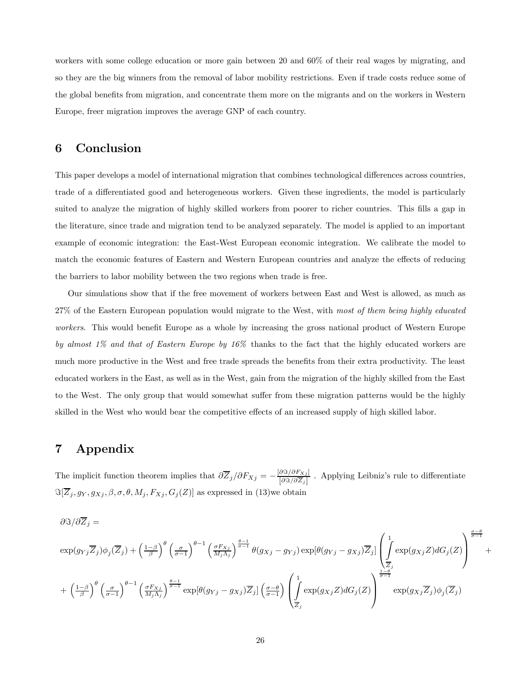workers with some college education or more gain between 20 and 60% of their real wages by migrating, and so they are the big winners from the removal of labor mobility restrictions. Even if trade costs reduce some of the global benefits from migration, and concentrate them more on the migrants and on the workers in Western Europe, freer migration improves the average GNP of each country.

### 6 Conclusion

This paper develops a model of international migration that combines technological differences across countries, trade of a differentiated good and heterogeneous workers. Given these ingredients, the model is particularly suited to analyze the migration of highly skilled workers from poorer to richer countries. This fills a gap in the literature, since trade and migration tend to be analyzed separately. The model is applied to an important example of economic integration: the East-West European economic integration. We calibrate the model to match the economic features of Eastern and Western European countries and analyze the effects of reducing the barriers to labor mobility between the two regions when trade is free.

Our simulations show that if the free movement of workers between East and West is allowed, as much as 27% of the Eastern European population would migrate to the West, with most of them being highly educated workers. This would benefit Europe as a whole by increasing the gross national product of Western Europe by almost  $1\%$  and that of Eastern Europe by  $16\%$  thanks to the fact that the highly educated workers are much more productive in the West and free trade spreads the benefits from their extra productivity. The least educated workers in the East, as well as in the West, gain from the migration of the highly skilled from the East to the West. The only group that would somewhat suffer from these migration patterns would be the highly skilled in the West who would bear the competitive effects of an increased supply of high skilled labor.

### 7 Appendix

The implicit function theorem implies that  $\partial \overline{Z}_j / \partial F_{Xj} = -\frac{\partial \Im \partial F_{Xj}}{\partial \Im \partial \overline{Z}_j}$ . Applying Leibniz's rule to differentiate  $\Im[\overline{Z}_j , g_Y , g_{Xj} , \beta , \sigma , \theta , M_j , F_{Xj} , G_j(Z)]$  as expressed in (13)we obtain

$$
\begin{split} &\partial\Im/\partial\overline{Z}_{j}=\nonumber\\ &\exp(g_{Yj}\overline{Z}_{j})\phi_{j}(\overline{Z}_{j})+\left(\frac{1-\beta}{\beta}\right)^{\theta}\left(\frac{\sigma}{\sigma-1}\right)^{\theta-1}\left(\frac{\sigma F_{Xj}}{M_{j}\Lambda_{j}}\right)^{\frac{\theta-1}{\sigma-1}}\theta(g_{Xj}-g_{Yj})\exp[\theta(g_{Yj}-g_{Xj})\overline{Z}_{j}] \left(\int\limits_{\overline{Z}_{j}}^{1}\exp(g_{Xj}Z)dG_{j}(Z)\right)^{\frac{\sigma-\theta}{\sigma-1}}\\ &+\left(\frac{1-\beta}{\beta}\right)^{\theta}\left(\frac{\sigma}{\sigma-1}\right)^{\theta-1}\left(\frac{\sigma F_{Xj}}{M_{j}\Lambda_{j}}\right)^{\frac{\theta-1}{\sigma-1}}\exp[\theta(g_{Yj}-g_{Xj})\overline{Z}_{j}]\left(\frac{\sigma-\theta}{\sigma-1}\right)\left(\int\limits_{\overline{Z}_{j}}^{1}\exp(g_{Xj}Z)dG_{j}(Z)\right)^{\frac{1-\theta}{\sigma-1}}\exp(g_{Xj}\overline{Z}_{j})\phi_{j}(\overline{Z}_{j}) \end{split}
$$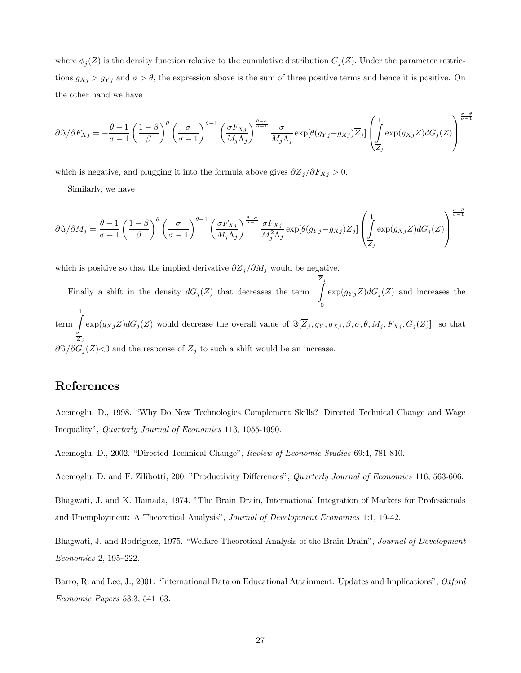where  $\phi_j(Z)$  is the density function relative to the cumulative distribution  $G_j(Z)$ . Under the parameter restrictions  $g_{Xj} > g_{Yj}$  and  $\sigma > \theta$ , the expression above is the sum of three positive terms and hence it is positive. On the other hand we have

$$
\partial \Im/\partial F_{Xj} = -\frac{\theta - 1}{\sigma - 1} \left(\frac{1 - \beta}{\beta}\right)^{\theta} \left(\frac{\sigma}{\sigma - 1}\right)^{\theta - 1} \left(\frac{\sigma F_{Xj}}{M_j \Lambda_j}\right)^{\frac{\theta - \sigma}{\sigma - 1}} \frac{\sigma}{M_j \Lambda_j} \exp[\theta(g_{Yj} - g_{Xj}) \overline{Z}_j] \left(\int_{\overline{Z}_j}^1 \exp(g_{Xj} Z) dG_j(Z)\right)^{\frac{\theta - \sigma}{\sigma - 1}}
$$

σ−θ

σ−θ

which is negative, and plugging it into the formula above gives  $\partial \overline{Z}_j / \partial F_{X_j} > 0$ .

Similarly, we have

$$
\frac{\partial \Im}{\partial M_j} = \frac{\theta - 1}{\sigma - 1} \left(\frac{1 - \beta}{\beta}\right)^{\theta} \left(\frac{\sigma}{\sigma - 1}\right)^{\theta - 1} \left(\frac{\sigma F_{Xj}}{M_j \Lambda_j}\right)^{\frac{\theta - \sigma}{\sigma - 1}} \frac{\sigma F_{Xj}}{M_j^2 \Lambda_j} \exp[\theta(g_{Yj} - g_{Xj}) \overline{Z}_j] \left(\int_{\overline{Z}_j}^1 \exp(g_{Xj} Z) dG_j(Z)\right)^{\frac{\theta - \sigma}{\sigma - 1}}
$$

which is positive so that the implied derivative  $\partial \overline{Z}_j / \partial M_j$  would be negative.

Finally a shift in the density  $dG_j(Z)$  that decreases the term  $\begin{bmatrix} Z_j \end{bmatrix}$ 0  $\exp(g_{Yj}Z)dG_j(Z)$  and increases the  $\begin{pmatrix} 1 \\ \text{term} \end{pmatrix}$  $\boldsymbol{Z}_j$  $\exp(g_{Xj}Z)dG_j(Z)$  would decrease the overall value of  $\Im[\overline{Z}_j , g_Y , g_{Xj} , \beta, \sigma, \theta, M_j, F_{Xj} , G_j(Z)]$  so that  $\partial \Im/\partial G_j(Z)$ <0 and the response of  $\overline{Z}_j$  to such a shift would be an increase.

# References

Acemoglu, D., 1998. "Why Do New Technologies Complement Skills? Directed Technical Change and Wage Inequality", Quarterly Journal of Economics 113, 1055-1090.

Acemoglu, D., 2002. "Directed Technical Change", Review of Economic Studies 69:4, 781-810.

Acemoglu, D. and F. Zilibotti, 200. "Productivity Differences", *Quarterly Journal of Economics* 116, 563-606.

Bhagwati, J. and K. Hamada, 1974. "The Brain Drain, International Integration of Markets for Professionals and Unemployment: A Theoretical Analysis", Journal of Development Economics 1:1, 19-42.

Bhagwati, J. and Rodriguez, 1975. "Welfare-Theoretical Analysis of the Brain Drain", Journal of Development Economics 2, 195—222.

Barro, R. and Lee, J., 2001. "International Data on Educational Attainment: Updates and Implications", Oxford Economic Papers 53:3, 541—63.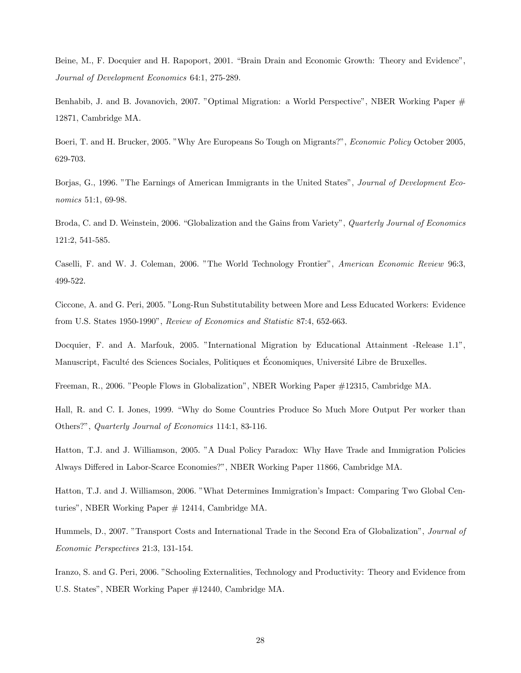Beine, M., F. Docquier and H. Rapoport, 2001. "Brain Drain and Economic Growth: Theory and Evidence", Journal of Development Economics 64:1, 275-289.

Benhabib, J. and B. Jovanovich, 2007. "Optimal Migration: a World Perspective", NBER Working Paper # 12871, Cambridge MA.

Boeri, T. and H. Brucker, 2005. "Why Are Europeans So Tough on Migrants?", Economic Policy October 2005, 629-703.

Borjas, G., 1996. "The Earnings of American Immigrants in the United States", Journal of Development Economics 51:1, 69-98.

Broda, C. and D. Weinstein, 2006. "Globalization and the Gains from Variety", Quarterly Journal of Economics 121:2, 541-585.

Caselli, F. and W. J. Coleman, 2006. "The World Technology Frontier", American Economic Review 96:3, 499-522.

Ciccone, A. and G. Peri, 2005. "Long-Run Substitutability between More and Less Educated Workers: Evidence from U.S. States 1950-1990", Review of Economics and Statistic 87:4, 652-663.

Docquier, F. and A. Marfouk, 2005. "International Migration by Educational Attainment -Release 1.1", Manuscript, Faculté des Sciences Sociales, Politiques et Économiques, Université Libre de Bruxelles.

Freeman, R., 2006. "People Flows in Globalization", NBER Working Paper #12315, Cambridge MA.

Hall, R. and C. I. Jones, 1999. "Why do Some Countries Produce So Much More Output Per worker than Others?", Quarterly Journal of Economics 114:1, 83-116.

Hatton, T.J. and J. Williamson, 2005. "A Dual Policy Paradox: Why Have Trade and Immigration Policies Always Differed in Labor-Scarce Economies?", NBER Working Paper 11866, Cambridge MA.

Hatton, T.J. and J. Williamson, 2006. "What Determines Immigration's Impact: Comparing Two Global Centuries", NBER Working Paper # 12414, Cambridge MA.

Hummels, D., 2007. "Transport Costs and International Trade in the Second Era of Globalization", Journal of Economic Perspectives 21:3, 131-154.

Iranzo, S. and G. Peri, 2006. "Schooling Externalities, Technology and Productivity: Theory and Evidence from U.S. States", NBER Working Paper #12440, Cambridge MA.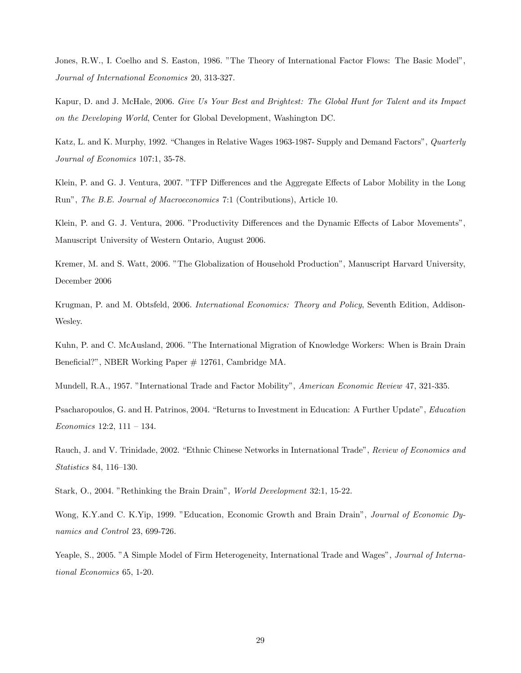Jones, R.W., I. Coelho and S. Easton, 1986. "The Theory of International Factor Flows: The Basic Model", Journal of International Economics 20, 313-327.

Kapur, D. and J. McHale, 2006. Give Us Your Best and Brightest: The Global Hunt for Talent and its Impact on the Developing World, Center for Global Development, Washington DC.

Katz, L. and K. Murphy, 1992. "Changes in Relative Wages 1963-1987- Supply and Demand Factors", *Quarterly* Journal of Economics 107:1, 35-78.

Klein, P. and G. J. Ventura, 2007. "TFP Differences and the Aggregate Effects of Labor Mobility in the Long Run", The B.E. Journal of Macroeconomics 7:1 (Contributions), Article 10.

Klein, P. and G. J. Ventura, 2006. "Productivity Differences and the Dynamic Effects of Labor Movements", Manuscript University of Western Ontario, August 2006.

Kremer, M. and S. Watt, 2006. "The Globalization of Household Production", Manuscript Harvard University, December 2006

Krugman, P. and M. Obtsfeld, 2006. International Economics: Theory and Policy, Seventh Edition, Addison-Wesley.

Kuhn, P. and C. McAusland, 2006. "The International Migration of Knowledge Workers: When is Brain Drain Beneficial?", NBER Working Paper # 12761, Cambridge MA.

Mundell, R.A., 1957. "International Trade and Factor Mobility", American Economic Review 47, 321-335.

Psacharopoulos, G. and H. Patrinos, 2004. "Returns to Investment in Education: A Further Update", Education Economics 12:2, 111 — 134.

Rauch, J. and V. Trinidade, 2002. "Ethnic Chinese Networks in International Trade", Review of Economics and Statistics 84, 116—130.

Stark, O., 2004. "Rethinking the Brain Drain", World Development 32:1, 15-22.

Wong, K.Y.and C. K.Yip, 1999. "Education, Economic Growth and Brain Drain", Journal of Economic Dynamics and Control 23, 699-726.

Yeaple, S., 2005. "A Simple Model of Firm Heterogeneity, International Trade and Wages", Journal of International Economics 65, 1-20.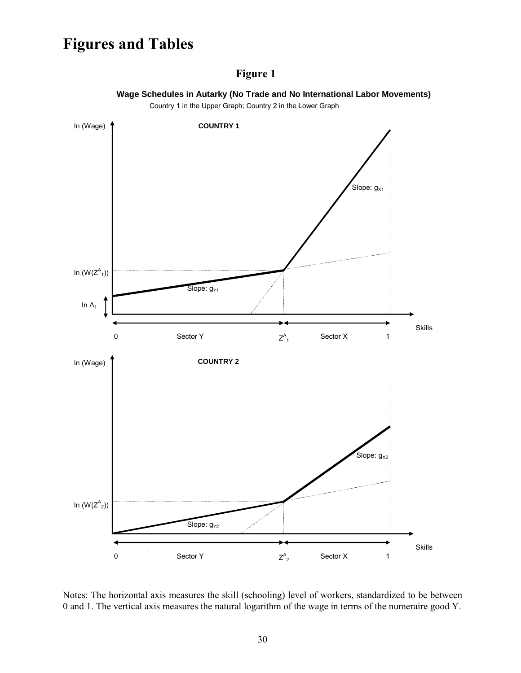# **Figures and Tables**

# **Figure 1**



 **Wage Schedules in Autarky (No Trade and No International Labor Movements)**

Country 1 in the Upper Graph; Country 2 in the Lower Graph

Notes: The horizontal axis measures the skill (schooling) level of workers, standardized to be between 0 and 1. The vertical axis measures the natural logarithm of the wage in terms of the numeraire good Y.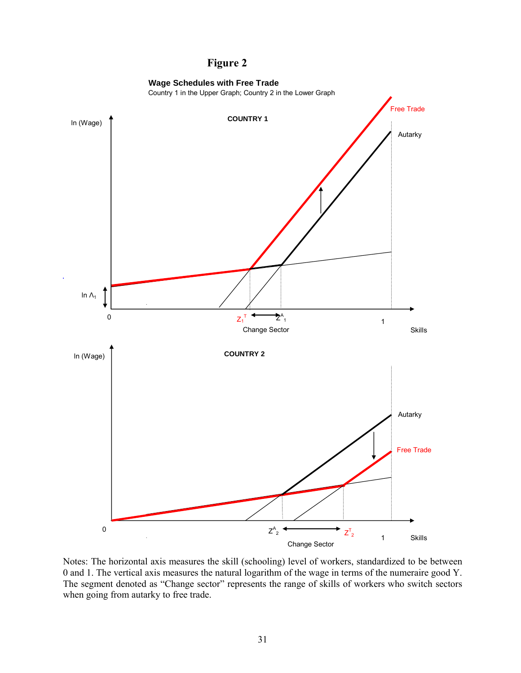# **Figure 2**



Notes: The horizontal axis measures the skill (schooling) level of workers, standardized to be between 0 and 1. The vertical axis measures the natural logarithm of the wage in terms of the numeraire good Y. The segment denoted as "Change sector" represents the range of skills of workers who switch sectors when going from autarky to free trade.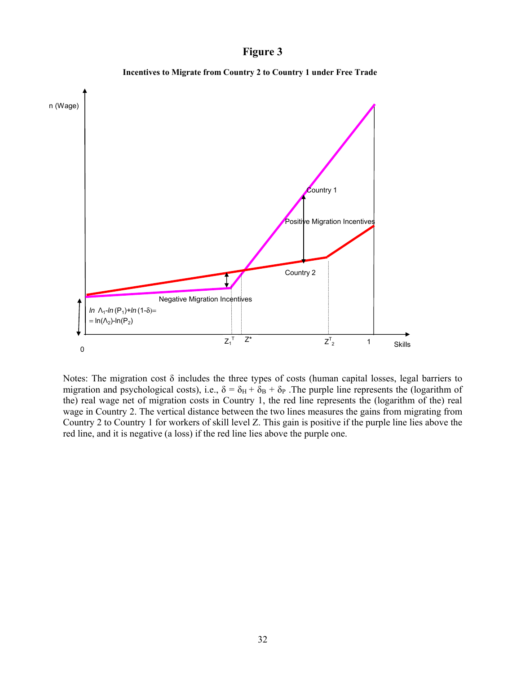### **Figure 3**



**Incentives to Migrate from Country 2 to Country 1 under Free Trade**

Notes: The migration cost δ includes the three types of costs (human capital losses, legal barriers to migration and psychological costs), i.e.,  $\delta = \delta_H + \delta_B + \delta_P$ . The purple line represents the (logarithm of the) real wage net of migration costs in Country 1, the red line represents the (logarithm of the) real wage in Country 2. The vertical distance between the two lines measures the gains from migrating from Country 2 to Country 1 for workers of skill level Z. This gain is positive if the purple line lies above the red line, and it is negative (a loss) if the red line lies above the purple one.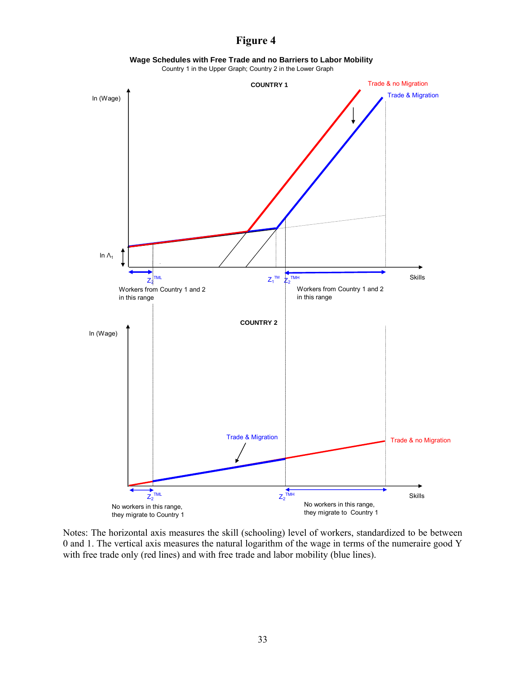# **Figure 4**

**Wage Schedules with Free Trade and no Barriers to Labor Mobility**

Country 1 in the Upper Graph; Country 2 in the Lower Graph



Notes: The horizontal axis measures the skill (schooling) level of workers, standardized to be between 0 and 1. The vertical axis measures the natural logarithm of the wage in terms of the numeraire good Y with free trade only (red lines) and with free trade and labor mobility (blue lines).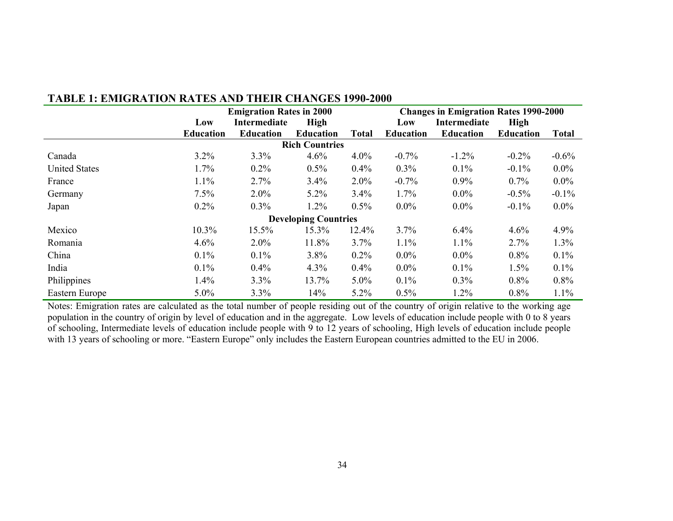|                      |                  | <b>Emigration Rates in 2000</b> |                             |              |                  | <b>Changes in Emigration Rates 1990-2000</b> |                  |          |  |
|----------------------|------------------|---------------------------------|-----------------------------|--------------|------------------|----------------------------------------------|------------------|----------|--|
|                      | Low              | Intermediate                    |                             | High         |                  | Intermediate                                 | High             |          |  |
|                      | <b>Education</b> | <b>Education</b>                | <b>Education</b>            | <b>Total</b> | <b>Education</b> | <b>Education</b>                             | <b>Education</b> | Total    |  |
|                      |                  |                                 | <b>Rich Countries</b>       |              |                  |                                              |                  |          |  |
| Canada               | 3.2%             | 3.3%                            | 4.6%                        | $4.0\%$      | $-0.7%$          | $-1.2%$                                      | $-0.2%$          | $-0.6%$  |  |
| <b>United States</b> | 1.7%             | $0.2\%$                         | $0.5\%$                     | 0.4%         | $0.3\%$          | 0.1%                                         | $-0.1\%$         | $0.0\%$  |  |
| France               | 1.1%             | 2.7%                            | $3.4\%$                     | $2.0\%$      | $-0.7%$          | $0.9\%$                                      | $0.7\%$          | $0.0\%$  |  |
| Germany              | 7.5%             | $2.0\%$                         | $5.2\%$                     | 3.4%         | 1.7%             | $0.0\%$                                      | $-0.5%$          | $-0.1\%$ |  |
| Japan                | $0.2\%$          | $0.3\%$                         | 1.2%                        | 0.5%         | $0.0\%$          | $0.0\%$                                      | $-0.1\%$         | $0.0\%$  |  |
|                      |                  |                                 | <b>Developing Countries</b> |              |                  |                                              |                  |          |  |
| Mexico               | 10.3%            | 15.5%                           | 15.3%                       | 12.4%        | 3.7%             | 6.4%                                         | 4.6%             | 4.9%     |  |
| Romania              | 4.6%             | $2.0\%$                         | 11.8%                       | 3.7%         | 1.1%             | 1.1%                                         | 2.7%             | 1.3%     |  |
| China                | $0.1\%$          | 0.1%                            | $3.8\%$                     | $0.2\%$      | $0.0\%$          | $0.0\%$                                      | 0.8%             | 0.1%     |  |
| India                | $0.1\%$          | $0.4\%$                         | $4.3\%$                     | 0.4%         | $0.0\%$          | 0.1%                                         | 1.5%             | 0.1%     |  |
| Philippines          | 1.4%             | 3.3%                            | 13.7%                       | $5.0\%$      | $0.1\%$          | 0.3%                                         | 0.8%             | 0.8%     |  |
| Eastern Europe       | $5.0\%$          | 3.3%                            | 14%                         | $5.2\%$      | 0.5%             | 1.2%                                         | 0.8%             | 1.1%     |  |

## **TABLE 1: EMIGRATION RATES AND THEIR CHANGES 1990-2000**

Notes: Emigration rates are calculated as the total number of people residing out of the country of origin relative to the working age population in the country of origin by level of education and in the aggregate. Low levels of education include people with 0 to 8 years of schooling, Intermediate levels of education include people with 9 to 12 years of schooling, High levels of education include people with 13 years of schooling or more. "Eastern Europe" only includes the Eastern European countries admitted to the EU in 2006.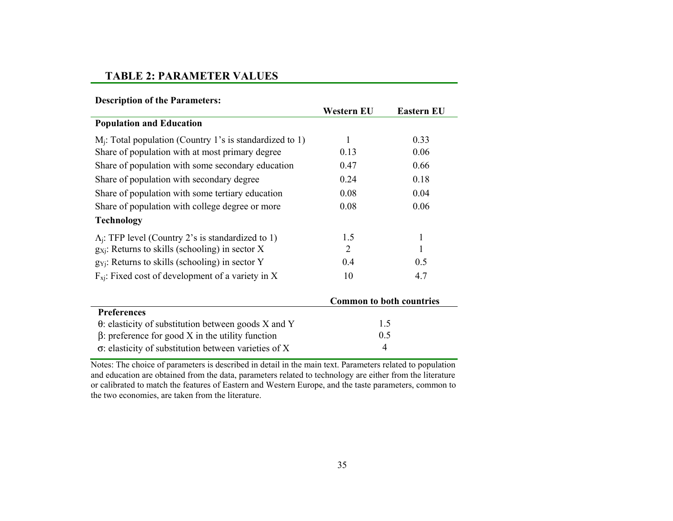### **TABLE 2: PARAMETER VALUES**

|  |  | <b>Description of the Parameters:</b> |
|--|--|---------------------------------------|
|--|--|---------------------------------------|

|                                                              | Western EU     | Eastern EU                      |  |
|--------------------------------------------------------------|----------------|---------------------------------|--|
| <b>Population and Education</b>                              |                |                                 |  |
| $M_i$ : Total population (Country 1's is standardized to 1)  | $\mathbf{1}$   | 0.33                            |  |
| Share of population with at most primary degree              | 0.13           | 0.06                            |  |
| Share of population with some secondary education            | 0.47           | 0.66                            |  |
| Share of population with secondary degree                    | 0.24           | 0.18                            |  |
| Share of population with some tertiary education             | 0.08           | 0.04                            |  |
| Share of population with college degree or more              | 0.08           | 0.06                            |  |
| <b>Technology</b>                                            |                |                                 |  |
| $\Lambda_i$ : TFP level (Country 2's is standardized to 1)   | 1.5            | $\mathbf{1}$                    |  |
| $g_{Xi}$ : Returns to skills (schooling) in sector X         | 2              |                                 |  |
| $g_{Yi}$ . Returns to skills (schooling) in sector Y         | 0.4            | 0.5                             |  |
| $F_{xi}$ : Fixed cost of development of a variety in X       | 10             | 4.7                             |  |
|                                                              |                | <b>Common to both countries</b> |  |
| <b>Preferences</b>                                           |                |                                 |  |
| $\theta$ : elasticity of substitution between goods X and Y  |                | 1.5                             |  |
| $\beta$ : preference for good X in the utility function      | 0.5            |                                 |  |
| $\sigma$ : elasticity of substitution between varieties of X | $\overline{4}$ |                                 |  |

Notes: The choice of parameters is described in detail in the main text. Parameters related to population and education are obtained from the data, parameters related to technology are either from the literature or calibrated to match the features of Eastern and Western Europe, and the taste parameters, common to the two economies, are taken from the literature.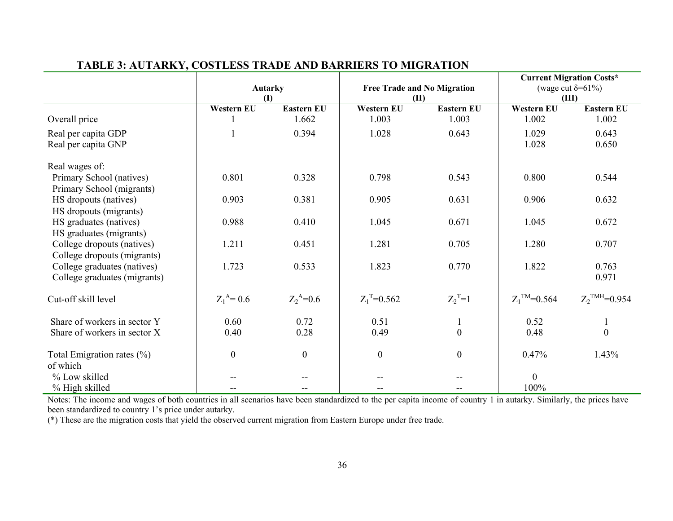|                                | $\mathbf{I}$      | <b>Autarky</b>    | <b>ID</b>         | <b>Free Trade and No Migration</b> | <b>Current Migration Costs*</b><br>(wage cut $\delta = 61\%$ )<br>(III) |                             |  |
|--------------------------------|-------------------|-------------------|-------------------|------------------------------------|-------------------------------------------------------------------------|-----------------------------|--|
|                                | <b>Western EU</b> | <b>Eastern EU</b> | <b>Western EU</b> | <b>Eastern EU</b>                  | <b>Western EU</b>                                                       | <b>Eastern EU</b>           |  |
| Overall price                  |                   | 1.662             | 1.003             | 1.003                              | 1.002                                                                   | 1.002                       |  |
| Real per capita GDP            |                   | 0.394             | 1.028             | 0.643                              | 1.029                                                                   | 0.643                       |  |
| Real per capita GNP            |                   |                   |                   |                                    | 1.028                                                                   | 0.650                       |  |
| Real wages of:                 |                   |                   |                   |                                    |                                                                         |                             |  |
| Primary School (natives)       | 0.801             | 0.328             | 0.798             | 0.543                              | 0.800                                                                   | 0.544                       |  |
| Primary School (migrants)      |                   |                   |                   |                                    |                                                                         |                             |  |
| HS dropouts (natives)          | 0.903             | 0.381             | 0.905             | 0.631                              | 0.906                                                                   | 0.632                       |  |
| HS dropouts (migrants)         |                   |                   |                   |                                    |                                                                         |                             |  |
| HS graduates (natives)         | 0.988             | 0.410             | 1.045             | 0.671                              | 1.045                                                                   | 0.672                       |  |
| HS graduates (migrants)        |                   |                   |                   |                                    |                                                                         |                             |  |
| College dropouts (natives)     | 1.211             | 0.451             | 1.281             | 0.705                              | 1.280                                                                   | 0.707                       |  |
| College dropouts (migrants)    |                   |                   |                   |                                    |                                                                         |                             |  |
| College graduates (natives)    | 1.723             | 0.533             | 1.823             | 0.770                              | 1.822                                                                   | 0.763                       |  |
| College graduates (migrants)   |                   |                   |                   |                                    |                                                                         | 0.971                       |  |
| Cut-off skill level            | $Z_1^A = 0.6$     | $Z_2^A = 0.6$     | $Z_1^T = 0.562$   | $Z_2^T=1$                          | $Z_1^{\text{TM}}=0.564$                                                 | $Z_2$ <sup>TMH</sup> =0.954 |  |
| Share of workers in sector Y   | 0.60              | 0.72              | 0.51              |                                    | 0.52                                                                    |                             |  |
| Share of workers in sector X   | 0.40              | 0.28              | 0.49              | $\boldsymbol{0}$                   | 0.48                                                                    | $\boldsymbol{0}$            |  |
|                                |                   |                   |                   |                                    |                                                                         |                             |  |
| Total Emigration rates $(\% )$ | $\overline{0}$    | $\boldsymbol{0}$  | $\boldsymbol{0}$  | $\boldsymbol{0}$                   | 0.47%                                                                   | 1.43%                       |  |
| of which                       |                   |                   |                   |                                    |                                                                         |                             |  |
| % Low skilled                  |                   |                   |                   |                                    | $\boldsymbol{0}$                                                        |                             |  |
| % High skilled                 |                   |                   |                   |                                    | 100%                                                                    |                             |  |

# **TABLE 3: AUTARKY, COSTLESS TRADE AND BARRIERS TO MIGRATION**

Notes: The income and wages of both countries in all scenarios have been standardized to the per capita income of country 1 in autarky. Similarly, the prices have been standardized to country 1's price under autarky.

(\*) These are the migration costs that yield the observed current migration from Eastern Europe under free trade.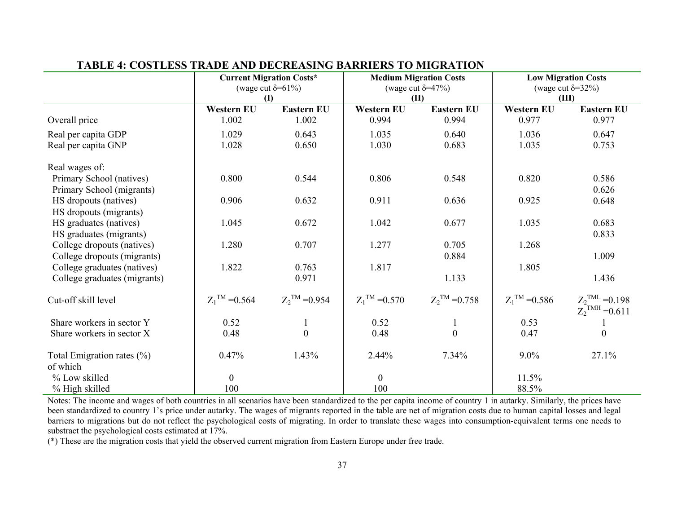|                                            | <b>Current Migration Costs*</b><br>(wage cut $\delta = 61\%$ )<br><b>(I)</b> |                           |                           | <b>Medium Migration Costs</b><br>(wage cut $\delta = 47\%$ )<br>(II) | <b>Low Migration Costs</b><br>(wage cut $\delta = 32\%$ )<br>(III) |                                                            |  |
|--------------------------------------------|------------------------------------------------------------------------------|---------------------------|---------------------------|----------------------------------------------------------------------|--------------------------------------------------------------------|------------------------------------------------------------|--|
|                                            | Western EU                                                                   | <b>Eastern EU</b>         | <b>Western EU</b>         | <b>Eastern EU</b>                                                    | <b>Western EU</b>                                                  | <b>Eastern EU</b>                                          |  |
| Overall price                              | 1.002                                                                        | 1.002                     | 0.994                     | 0.994                                                                | 0.977                                                              | 0.977                                                      |  |
| Real per capita GDP                        | 1.029                                                                        | 0.643                     | 1.035                     | 0.640                                                                | 1.036                                                              | 0.647                                                      |  |
| Real per capita GNP                        | 1.028                                                                        | 0.650                     | 1.030                     | 0.683                                                                | 1.035                                                              | 0.753                                                      |  |
| Real wages of:                             |                                                                              |                           |                           |                                                                      |                                                                    |                                                            |  |
| Primary School (natives)                   | 0.800                                                                        | 0.544                     | 0.806                     | 0.548                                                                | 0.820                                                              | 0.586                                                      |  |
| Primary School (migrants)                  |                                                                              |                           |                           |                                                                      |                                                                    | 0.626                                                      |  |
| HS dropouts (natives)                      | 0.906                                                                        | 0.632                     | 0.911                     | 0.636                                                                | 0.925                                                              | 0.648                                                      |  |
| HS dropouts (migrants)                     |                                                                              |                           |                           |                                                                      |                                                                    |                                                            |  |
| HS graduates (natives)                     | 1.045                                                                        | 0.672                     | 1.042                     | 0.677                                                                | 1.035                                                              | 0.683                                                      |  |
| HS graduates (migrants)                    |                                                                              |                           |                           |                                                                      |                                                                    | 0.833                                                      |  |
| College dropouts (natives)                 | 1.280                                                                        | 0.707                     | 1.277                     | 0.705                                                                | 1.268                                                              |                                                            |  |
| College dropouts (migrants)                |                                                                              |                           |                           | 0.884                                                                |                                                                    | 1.009                                                      |  |
| College graduates (natives)                | 1.822                                                                        | 0.763                     | 1.817                     |                                                                      | 1.805                                                              |                                                            |  |
| College graduates (migrants)               |                                                                              | 0.971                     |                           | 1.133                                                                |                                                                    | 1.436                                                      |  |
| Cut-off skill level                        | $Z_1^{\text{TM}} = 0.564$                                                    | $Z_2^{\text{TM}} = 0.954$ | $Z_1^{\text{TM}} = 0.570$ | $Z_2^{\text{TM}} = 0.758$                                            | $Z_1^{\text{TM}} = 0.586$                                          | $Z_2$ <sup>TML</sup> = 0.198<br>$Z_2^{\text{TMH}} = 0.611$ |  |
| Share workers in sector Y                  | 0.52                                                                         |                           | 0.52                      |                                                                      | 0.53                                                               |                                                            |  |
| Share workers in sector X                  | 0.48                                                                         | $\boldsymbol{0}$          | 0.48                      | $\overline{0}$                                                       | 0.47                                                               | $\boldsymbol{0}$                                           |  |
| Total Emigration rates $(\% )$<br>of which | 0.47%                                                                        | 1.43%                     | 2.44%                     | 7.34%                                                                | $9.0\%$                                                            | 27.1%                                                      |  |
| % Low skilled                              | $\overline{0}$                                                               |                           | $\overline{0}$            |                                                                      | 11.5%                                                              |                                                            |  |
| % High skilled                             | 100                                                                          |                           | 100                       |                                                                      | 88.5%                                                              |                                                            |  |

# **TABLE 4: COSTLESS TRADE AND DECREASING BARRIERS TO MIGRATION**

Notes: The income and wages of both countries in all scenarios have been standardized to the per capita income of country 1 in autarky. Similarly, the prices have been standardized to country 1's price under autarky. The wages of migrants reported in the table are net of migration costs due to human capital losses and legal barriers to migrations but do not reflect the psychological costs of migrating. In order to translate these wages into consumption-equivalent terms one needs to substract the psychological costs estimated at 17%.

(\*) These are the migration costs that yield the observed current migration from Eastern Europe under free trade.